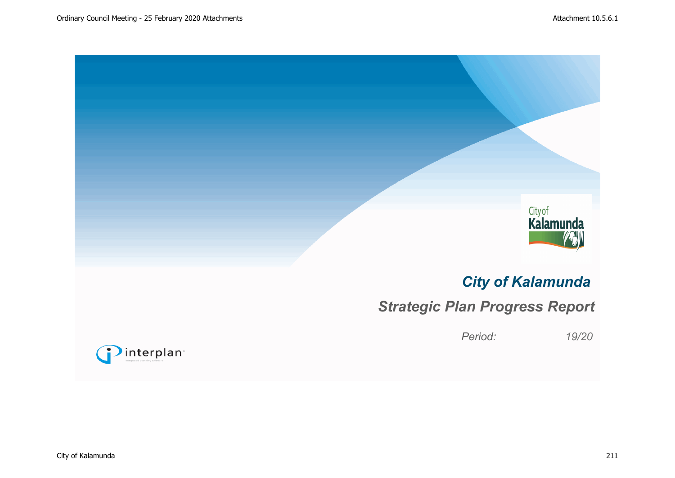

# *City of Kalamunda*

# *Strategic Plan Progress Report*

*Period: 19/20*

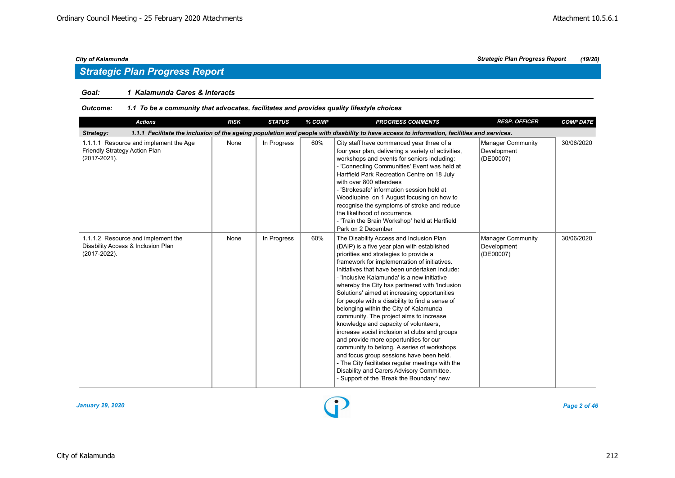## *Strategic Plan Progress Report*

## *Goal: 1 Kalamunda Cares & Interacts*

#### *Outcome: 1.1 To be a community that advocates, facilitates and provides quality lifestyle choices*

| <b>Actions</b>                                                                                                                                          | <b>RISK</b> | <b>STATUS</b> | % COMP | <b>PROGRESS COMMENTS</b>                                                                                                                                                                                                                                                                                                                                                                                                                                                                                                                                                                                                                                                                                                                                                                                                                                                                                 | <b>RESP. OFFICER</b>                                 | <b>COMP DATE</b> |  |  |  |  |  |
|---------------------------------------------------------------------------------------------------------------------------------------------------------|-------------|---------------|--------|----------------------------------------------------------------------------------------------------------------------------------------------------------------------------------------------------------------------------------------------------------------------------------------------------------------------------------------------------------------------------------------------------------------------------------------------------------------------------------------------------------------------------------------------------------------------------------------------------------------------------------------------------------------------------------------------------------------------------------------------------------------------------------------------------------------------------------------------------------------------------------------------------------|------------------------------------------------------|------------------|--|--|--|--|--|
| 1.1.1 Facilitate the inclusion of the ageing population and people with disability to have access to information, facilities and services.<br>Strategy: |             |               |        |                                                                                                                                                                                                                                                                                                                                                                                                                                                                                                                                                                                                                                                                                                                                                                                                                                                                                                          |                                                      |                  |  |  |  |  |  |
| 1.1.1.1 Resource and implement the Age<br>Friendly Strategy Action Plan<br>(2017-2021).                                                                 | None        | In Progress   | 60%    | City staff have commenced year three of a<br>four year plan, delivering a variety of activities,<br>workshops and events for seniors including:<br>- 'Connecting Communities' Event was held at<br>Hartfield Park Recreation Centre on 18 July<br>with over 800 attendees<br>- 'Strokesafe' information session held at<br>Woodlupine on 1 August focusing on how to<br>recognise the symptoms of stroke and reduce<br>the likelihood of occurrence.<br>- 'Train the Brain Workshop' held at Hartfield<br>Park on 2 December                                                                                                                                                                                                                                                                                                                                                                             | <b>Manager Community</b><br>Development<br>(DE00007) | 30/06/2020       |  |  |  |  |  |
| 1.1.1.2 Resource and implement the<br>Disability Access & Inclusion Plan<br>$(2017 - 2022)$ .                                                           | None        | In Progress   | 60%    | The Disability Access and Inclusion Plan<br>(DAIP) is a five year plan with established<br>priorities and strategies to provide a<br>framework for implementation of initiatives.<br>Initiatives that have been undertaken include:<br>- 'Inclusive Kalamunda' is a new initiative<br>whereby the City has partnered with 'Inclusion<br>Solutions' aimed at increasing opportunities<br>for people with a disability to find a sense of<br>belonging within the City of Kalamunda<br>community. The project aims to increase<br>knowledge and capacity of volunteers,<br>increase social inclusion at clubs and groups<br>and provide more opportunities for our<br>community to belong. A series of workshops<br>and focus group sessions have been held.<br>- The City facilitates regular meetings with the<br>Disability and Carers Advisory Committee.<br>- Support of the 'Break the Boundary' new | <b>Manager Community</b><br>Development<br>(DE00007) | 30/06/2020       |  |  |  |  |  |

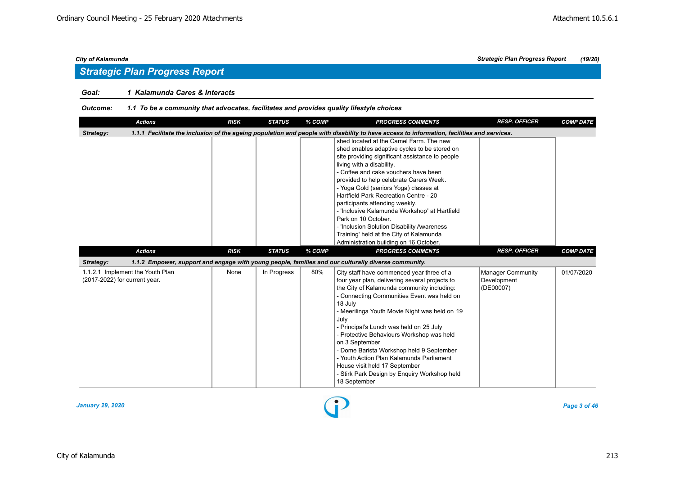## *Strategic Plan Progress Report*

## *Goal: 1 Kalamunda Cares & Interacts*

#### *Outcome: 1.1 To be a community that advocates, facilitates and provides quality lifestyle choices*

| <b>Actions</b>                                                    | <b>RISK</b> | <b>STATUS</b> | % COMP | <b>PROGRESS COMMENTS</b>                                                                                                                                                                                                                                                                                                                                                                                                                                                                                                                                                                  | <b>RESP. OFFICER</b>                                 | <b>COMP DATE</b> |
|-------------------------------------------------------------------|-------------|---------------|--------|-------------------------------------------------------------------------------------------------------------------------------------------------------------------------------------------------------------------------------------------------------------------------------------------------------------------------------------------------------------------------------------------------------------------------------------------------------------------------------------------------------------------------------------------------------------------------------------------|------------------------------------------------------|------------------|
| Strategy:                                                         |             |               |        | 1.1.1 Facilitate the inclusion of the ageing population and people with disability to have access to information, facilities and services.                                                                                                                                                                                                                                                                                                                                                                                                                                                |                                                      |                  |
|                                                                   |             |               |        | shed located at the Camel Farm. The new<br>shed enables adaptive cycles to be stored on<br>site providing significant assistance to people<br>living with a disability.<br>- Coffee and cake vouchers have been<br>provided to help celebrate Carers Week.<br>- Yoga Gold (seniors Yoga) classes at<br>Hartfield Park Recreation Centre - 20<br>participants attending weekly.<br>- 'Inclusive Kalamunda Workshop' at Hartfield<br>Park on 10 October.<br>- 'Inclusion Solution Disability Awareness<br>Training' held at the City of Kalamunda<br>Administration building on 16 October. |                                                      |                  |
| <b>Actions</b>                                                    | <b>RISK</b> | <b>STATUS</b> | % COMP | <b>PROGRESS COMMENTS</b>                                                                                                                                                                                                                                                                                                                                                                                                                                                                                                                                                                  | <b>RESP. OFFICER</b>                                 | <b>COMP DATE</b> |
| Strategy:                                                         |             |               |        | 1.1.2 Empower, support and engage with young people, families and our culturally diverse community.                                                                                                                                                                                                                                                                                                                                                                                                                                                                                       |                                                      |                  |
| 1.1.2.1 Implement the Youth Plan<br>(2017-2022) for current year. | None        | In Progress   | 80%    | City staff have commenced year three of a<br>four year plan, delivering several projects to<br>the City of Kalamunda community including:<br>- Connecting Communities Event was held on<br>18 July<br>- Meerilinga Youth Movie Night was held on 19<br>July<br>- Principal's Lunch was held on 25 July<br>- Protective Behaviours Workshop was held<br>on 3 September<br>- Dome Barista Workshop held 9 September<br>- Youth Action Plan Kalamunda Parliament<br>House visit held 17 September<br>- Stirk Park Design by Enguiry Workshop held<br>18 September                            | <b>Manager Community</b><br>Development<br>(DE00007) | 01/07/2020       |

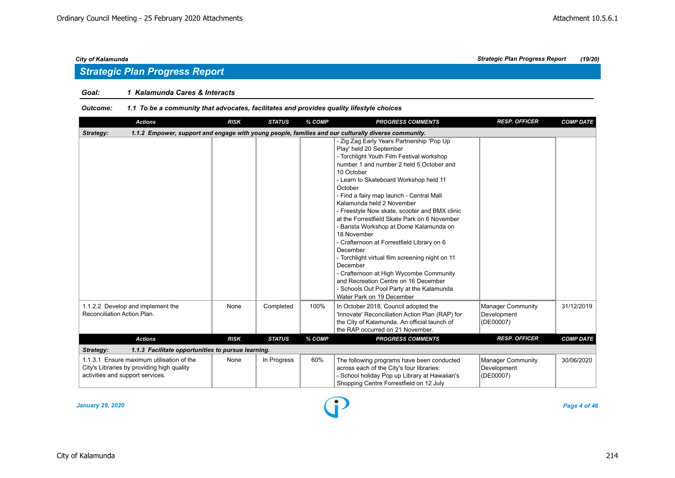## *Goal: 1 Kalamunda Cares & Interacts*

#### *Outcome: 1.1 To be a community that advocates, facilitates and provides quality lifestyle choices*

| <b>Actions</b>                                                                                                              | <b>RISK</b> | <b>STATUS</b> | % COMP | <b>PROGRESS COMMENTS</b>                                                                                                                                                                                                                                                                                                                                                                                                                                                                                                                                                                                                                                                                                                                                   | <b>RESP. OFFICER</b>                                 | <b>COMP DATE</b> |
|-----------------------------------------------------------------------------------------------------------------------------|-------------|---------------|--------|------------------------------------------------------------------------------------------------------------------------------------------------------------------------------------------------------------------------------------------------------------------------------------------------------------------------------------------------------------------------------------------------------------------------------------------------------------------------------------------------------------------------------------------------------------------------------------------------------------------------------------------------------------------------------------------------------------------------------------------------------------|------------------------------------------------------|------------------|
| Strategy:                                                                                                                   |             |               |        | 1.1.2 Empower, support and engage with young people, families and our culturally diverse community.                                                                                                                                                                                                                                                                                                                                                                                                                                                                                                                                                                                                                                                        |                                                      |                  |
|                                                                                                                             |             |               |        | - Zig Zag Early Years Partnership 'Pop Up<br>Play' held 20 September<br>- Torchlight Youth Film Festival workshop<br>number 1 and number 2 held 5 October and<br>10 October<br>- Learn to Skateboard Workshop held 11<br>October<br>- Find a fairy map launch - Central Mall<br>Kalamunda held 2 November<br>- Freestyle Now skate, scooter and BMX clinic<br>at the Forrestfield Skate Park on 6 November<br>- Barista Workshop at Dome Kalamunda on<br>18 November<br>- Crafternoon at Forrestfield Library on 6<br>December<br>- Torchlight virtual film screening night on 11<br>December<br>- Crafternoon at High Wycombe Community<br>and Recreation Centre on 16 December<br>- Schools Out Pool Party at the Kalamunda<br>Water Park on 19 December |                                                      |                  |
| 1.1.2.2 Develop and implement the<br>Reconciliation Action Plan.                                                            | None        | Completed     | 100%   | In October 2018, Council adopted the<br>'Innovate' Reconciliation Action Plan (RAP) for<br>the City of Kalamunda. An official launch of<br>the RAP occurred on 21 November.                                                                                                                                                                                                                                                                                                                                                                                                                                                                                                                                                                                | <b>Manager Community</b><br>Development<br>(DE00007) | 31/12/2019       |
| <b>Actions</b>                                                                                                              | <b>RISK</b> | <b>STATUS</b> | % COMP | <b>PROGRESS COMMENTS</b>                                                                                                                                                                                                                                                                                                                                                                                                                                                                                                                                                                                                                                                                                                                                   | <b>RESP. OFFICER</b>                                 | <b>COMP DATE</b> |
| Strategy:<br>1.1.3 Facilitate opportunities to pursue learning.                                                             |             |               |        |                                                                                                                                                                                                                                                                                                                                                                                                                                                                                                                                                                                                                                                                                                                                                            |                                                      |                  |
| 1.1.3.1 Ensure maximum utilisation of the<br>City's Libraries by providing high quality<br>activities and support services. | None        | In Progress   | 60%    | The following programs have been conducted<br>across each of the City's four libraries:<br>- School holiday Pop up Library at Hawaiian's<br>Shopping Centre Forrestfield on 12 July                                                                                                                                                                                                                                                                                                                                                                                                                                                                                                                                                                        | <b>Manager Community</b><br>Development<br>(DE00007) | 30/06/2020       |

*January 29, 2020 Page 4 of 46*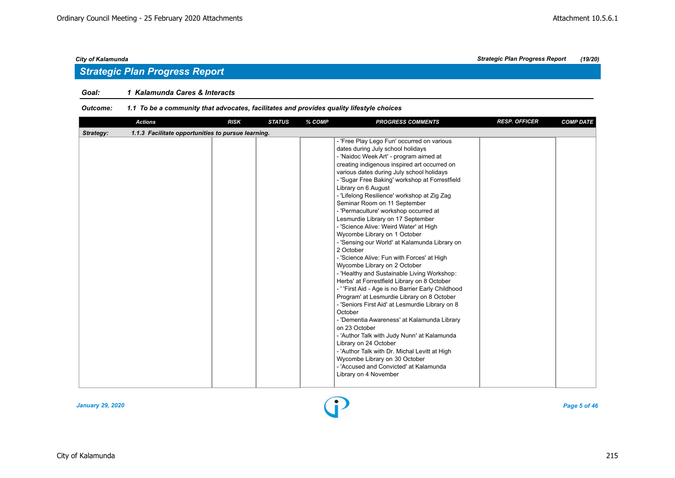## *Strategic Plan Progress Report*

## *Goal: 1 Kalamunda Cares & Interacts*

#### *Outcome: 1.1 To be a community that advocates, facilitates and provides quality lifestyle choices*

| <b>Actions</b>                                                  | <b>RISK</b> | <b>STATUS</b> | % COMP | <b>PROGRESS COMMENTS</b>                                                                                                                                                                                                                                                                                                                                                                                                                                                                                                                                                                                                                                                                                                                                                                                                                                                                                                                                                                                                                                                                                                                                                                                                                        | <b>RESP. OFFICER</b> | <b>COMP DATE</b> |
|-----------------------------------------------------------------|-------------|---------------|--------|-------------------------------------------------------------------------------------------------------------------------------------------------------------------------------------------------------------------------------------------------------------------------------------------------------------------------------------------------------------------------------------------------------------------------------------------------------------------------------------------------------------------------------------------------------------------------------------------------------------------------------------------------------------------------------------------------------------------------------------------------------------------------------------------------------------------------------------------------------------------------------------------------------------------------------------------------------------------------------------------------------------------------------------------------------------------------------------------------------------------------------------------------------------------------------------------------------------------------------------------------|----------------------|------------------|
| 1.1.3 Facilitate opportunities to pursue learning.<br>Strategy: |             |               |        |                                                                                                                                                                                                                                                                                                                                                                                                                                                                                                                                                                                                                                                                                                                                                                                                                                                                                                                                                                                                                                                                                                                                                                                                                                                 |                      |                  |
|                                                                 |             |               |        | - 'Free Play Lego Fun' occurred on various<br>dates during July school holidays<br>- 'Naidoc Week Art' - program aimed at<br>creating indigenous inspired art occurred on<br>various dates during July school holidays<br>- 'Sugar Free Baking' workshop at Forrestfield<br>Library on 6 August<br>- 'Lifelong Resilience' workshop at Zig Zag<br>Seminar Room on 11 September<br>- 'Permaculture' workshop occurred at<br>Lesmurdie Library on 17 September<br>- 'Science Alive: Weird Water' at High<br>Wycombe Library on 1 October<br>- 'Sensing our World' at Kalamunda Library on<br>2 October<br>- 'Science Alive: Fun with Forces' at High<br>Wycombe Library on 2 October<br>- 'Healthy and Sustainable Living Workshop:<br>Herbs' at Forrestfield Library on 8 October<br>- ' 'First Aid - Age is no Barrier Early Childhood<br>Program' at Lesmurdie Library on 8 October<br>- 'Seniors First Aid' at Lesmurdie Library on 8<br>October<br>- 'Dementia Awareness' at Kalamunda Library<br>on 23 October<br>- 'Author Talk with Judy Nunn' at Kalamunda<br>Library on 24 October<br>- 'Author Talk with Dr. Michal Levitt at High<br>Wycombe Library on 30 October<br>- 'Accused and Convicted' at Kalamunda<br>Library on 4 November |                      |                  |

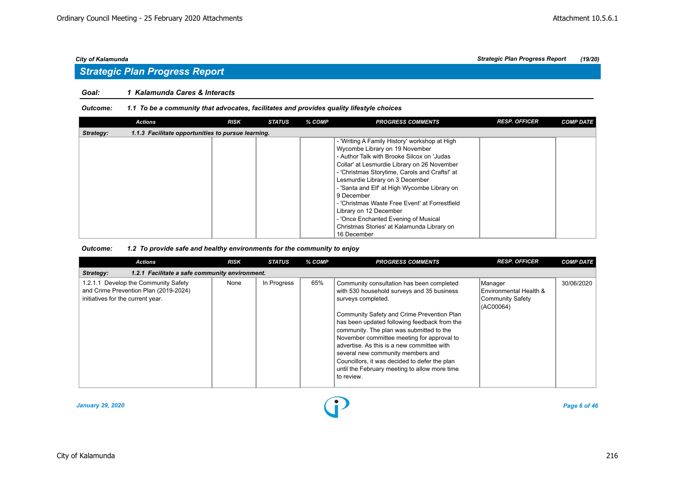## *Strategic Plan Progress Report*

## *Goal: 1 Kalamunda Cares & Interacts*

#### *Outcome: 1.1 To be a community that advocates, facilitates and provides quality lifestyle choices*

|           | <b>Actions</b>                                     | <b>RISK</b> | <b>STATUS</b> | % COMP | <b>PROGRESS COMMENTS</b>                                                                                                                                                                                                                                                                                                                                                                                                                                                                                         | <b>RESP. OFFICER</b> | <b>COMP DATE</b> |
|-----------|----------------------------------------------------|-------------|---------------|--------|------------------------------------------------------------------------------------------------------------------------------------------------------------------------------------------------------------------------------------------------------------------------------------------------------------------------------------------------------------------------------------------------------------------------------------------------------------------------------------------------------------------|----------------------|------------------|
| Strategy: | 1.1.3 Facilitate opportunities to pursue learning. |             |               |        |                                                                                                                                                                                                                                                                                                                                                                                                                                                                                                                  |                      |                  |
|           |                                                    |             |               |        | - 'Writing A Family History' workshop at High<br>Wycombe Library on 19 November<br>- Author Talk with Brooke Silcox on 'Judas<br>Collar' at Lesmurdie Library on 26 November<br>- 'Christmas Storytime, Carols and Crafts!' at<br>Lesmurdie Library on 3 December<br>- 'Santa and Elf' at High Wycombe Library on<br>9 December<br>- 'Christmas Waste Free Event' at Forrestfield<br>Library on 12 December<br>- 'Once Enchanted Evening of Musical<br>Christmas Stories' at Kalamunda Library on<br>16 December |                      |                  |

| <b>Actions</b>                                                                                                     | <b>RISK</b> | <b>STATUS</b> | % COMP | <b>PROGRESS COMMENTS</b>                                                                                                                                                                                                                                                                                                                                                                                                                                                                                 | <b>RESP. OFFICER</b>                                                      | <b>COMP DATE</b> |  |  |  |  |
|--------------------------------------------------------------------------------------------------------------------|-------------|---------------|--------|----------------------------------------------------------------------------------------------------------------------------------------------------------------------------------------------------------------------------------------------------------------------------------------------------------------------------------------------------------------------------------------------------------------------------------------------------------------------------------------------------------|---------------------------------------------------------------------------|------------------|--|--|--|--|
| 1.2.1 Facilitate a safe community environment.<br>Strategy:                                                        |             |               |        |                                                                                                                                                                                                                                                                                                                                                                                                                                                                                                          |                                                                           |                  |  |  |  |  |
| 1.2.1.1 Develop the Community Safety<br>and Crime Prevention Plan (2019-2024)<br>initiatives for the current year. | None        | In Progress   | 65%    | Community consultation has been completed<br>with 530 household surveys and 35 business<br>surveys completed.<br>Community Safety and Crime Prevention Plan<br>has been updated following feedback from the<br>community. The plan was submitted to the<br>November committee meeting for approval to<br>advertise. As this is a new committee with<br>several new community members and<br>Councillors, it was decided to defer the plan<br>until the February meeting to allow more time<br>to review. | <b>Manager</b><br>Environmental Health &<br>Community Safety<br>(AC00064) | 30/06/2020       |  |  |  |  |

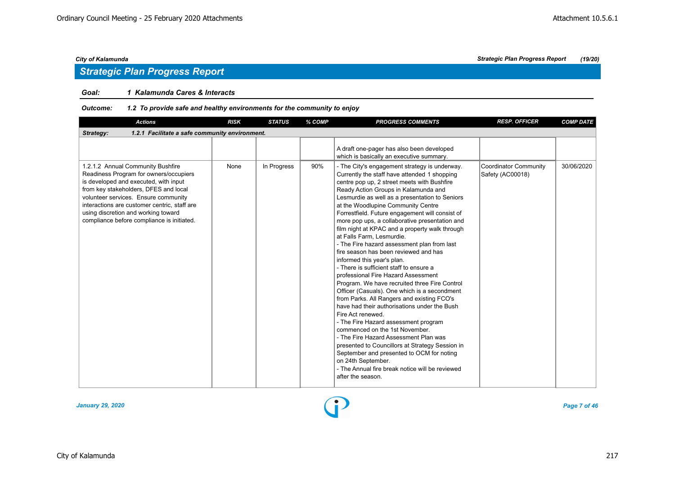## *Goal: 1 Kalamunda Cares & Interacts*

## *Outcome: 1.2 To provide safe and healthy environments for the community to enjoy*

| <b>Actions</b>                                                                                                                                                                                                                                                                                                                             | <b>RISK</b> | <b>STATUS</b> | % COMP | <b>PROGRESS COMMENTS</b>                                                                                                                                                                                                                                                                                                                                                                                                                                                                                                                                                                                                                                                                                                                                                                                                                                                                                                                                                                                                                                                                                                                                                                                      | <b>RESP. OFFICER</b>                      | <b>COMP DATE</b> |  |  |  |  |  |
|--------------------------------------------------------------------------------------------------------------------------------------------------------------------------------------------------------------------------------------------------------------------------------------------------------------------------------------------|-------------|---------------|--------|---------------------------------------------------------------------------------------------------------------------------------------------------------------------------------------------------------------------------------------------------------------------------------------------------------------------------------------------------------------------------------------------------------------------------------------------------------------------------------------------------------------------------------------------------------------------------------------------------------------------------------------------------------------------------------------------------------------------------------------------------------------------------------------------------------------------------------------------------------------------------------------------------------------------------------------------------------------------------------------------------------------------------------------------------------------------------------------------------------------------------------------------------------------------------------------------------------------|-------------------------------------------|------------------|--|--|--|--|--|
| Strategy:<br>1.2.1 Facilitate a safe community environment.                                                                                                                                                                                                                                                                                |             |               |        |                                                                                                                                                                                                                                                                                                                                                                                                                                                                                                                                                                                                                                                                                                                                                                                                                                                                                                                                                                                                                                                                                                                                                                                                               |                                           |                  |  |  |  |  |  |
|                                                                                                                                                                                                                                                                                                                                            |             |               |        | A draft one-pager has also been developed<br>which is basically an executive summary.                                                                                                                                                                                                                                                                                                                                                                                                                                                                                                                                                                                                                                                                                                                                                                                                                                                                                                                                                                                                                                                                                                                         |                                           |                  |  |  |  |  |  |
| 1.2.1.2 Annual Community Bushfire<br>Readiness Program for owners/occupiers<br>is developed and executed, with input<br>from key stakeholders, DFES and local<br>volunteer services. Ensure community<br>interactions are customer centric, staff are<br>using discretion and working toward<br>compliance before compliance is initiated. | None        | In Progress   | 90%    | - The City's engagement strategy is underway.<br>Currently the staff have attended 1 shopping<br>centre pop up, 2 street meets with Bushfire<br>Ready Action Groups in Kalamunda and<br>Lesmurdie as well as a presentation to Seniors<br>at the Woodlupine Community Centre<br>Forrestfield. Future engagement will consist of<br>more pop ups, a collaborative presentation and<br>film night at KPAC and a property walk through<br>at Falls Farm. Lesmurdie.<br>- The Fire hazard assessment plan from last<br>fire season has been reviewed and has<br>informed this year's plan.<br>- There is sufficient staff to ensure a<br>professional Fire Hazard Assessment<br>Program. We have recruited three Fire Control<br>Officer (Casuals). One which is a secondment<br>from Parks. All Rangers and existing FCO's<br>have had their authorisations under the Bush<br>Fire Act renewed.<br>- The Fire Hazard assessment program<br>commenced on the 1st November.<br>- The Fire Hazard Assessment Plan was<br>presented to Councillors at Strategy Session in<br>September and presented to OCM for noting<br>on 24th September.<br>- The Annual fire break notice will be reviewed<br>after the season. | Coordinator Community<br>Safety (AC00018) | 30/06/2020       |  |  |  |  |  |

*January 29, 2020 Page 7 of 46*

## *City of Kalamunda Strategic Plan Progress Report (19/20)*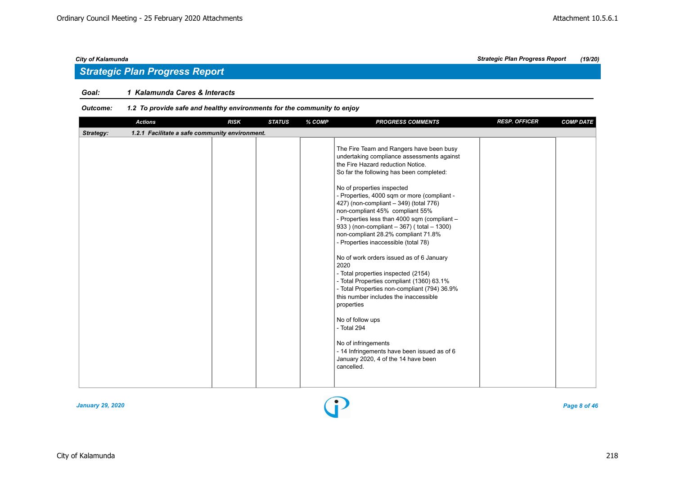## *Strategic Plan Progress Report*

## *Goal: 1 Kalamunda Cares & Interacts*

## *Outcome: 1.2 To provide safe and healthy environments for the community to enjoy*

|           | <b>Actions</b>                                 | <b>RISK</b> | <b>STATUS</b> | % COMP | <b>PROGRESS COMMENTS</b>                                                                                                                                                                                                                                                                                                                                                                                                                                                                                                                                                                                                                                                                                                                                                                                                                                                                                                    | <b>RESP. OFFICER</b> | <b>COMP DATE</b> |
|-----------|------------------------------------------------|-------------|---------------|--------|-----------------------------------------------------------------------------------------------------------------------------------------------------------------------------------------------------------------------------------------------------------------------------------------------------------------------------------------------------------------------------------------------------------------------------------------------------------------------------------------------------------------------------------------------------------------------------------------------------------------------------------------------------------------------------------------------------------------------------------------------------------------------------------------------------------------------------------------------------------------------------------------------------------------------------|----------------------|------------------|
| Strategy: | 1.2.1 Facilitate a safe community environment. |             |               |        |                                                                                                                                                                                                                                                                                                                                                                                                                                                                                                                                                                                                                                                                                                                                                                                                                                                                                                                             |                      |                  |
|           |                                                |             |               |        | The Fire Team and Rangers have been busy<br>undertaking compliance assessments against<br>the Fire Hazard reduction Notice.<br>So far the following has been completed:<br>No of properties inspected<br>- Properties, 4000 sqm or more (compliant -<br>427) (non-compliant - 349) (total 776)<br>non-compliant 45% compliant 55%<br>- Properties less than 4000 sqm (compliant -<br>933 ) (non-compliant - 367) (total - 1300)<br>non-compliant 28.2% compliant 71.8%<br>- Properties inaccessible (total 78)<br>No of work orders issued as of 6 January<br>2020<br>- Total properties inspected (2154)<br>- Total Properties compliant (1360) 63.1%<br>- Total Properties non-compliant (794) 36.9%<br>this number includes the inaccessible<br>properties<br>No of follow ups<br>- Total 294<br>No of infringements<br>- 14 Infringements have been issued as of 6<br>January 2020, 4 of the 14 have been<br>cancelled. |                      |                  |
|           |                                                |             |               |        |                                                                                                                                                                                                                                                                                                                                                                                                                                                                                                                                                                                                                                                                                                                                                                                                                                                                                                                             |                      |                  |

*January 29, 2020 Page 8 of 46*

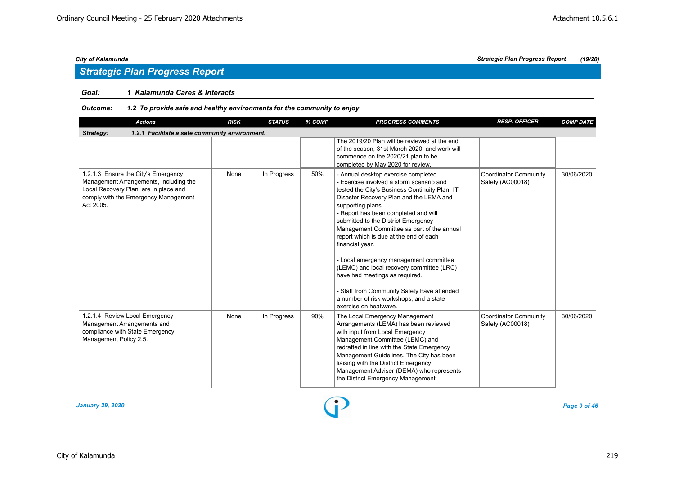## *Strategic Plan Progress Report*

## *Goal: 1 Kalamunda Cares & Interacts*

| <b>Actions</b>                                                                                                                                                              | <b>RISK</b> | <b>STATUS</b> | % COMP | <b>PROGRESS COMMENTS</b>                                                                                                                                                                                                                                                                                                                                                                                                                                                                                                                                                                                                                 | <b>RESP. OFFICER</b>                             | <b>COMP DATE</b> |  |  |  |  |
|-----------------------------------------------------------------------------------------------------------------------------------------------------------------------------|-------------|---------------|--------|------------------------------------------------------------------------------------------------------------------------------------------------------------------------------------------------------------------------------------------------------------------------------------------------------------------------------------------------------------------------------------------------------------------------------------------------------------------------------------------------------------------------------------------------------------------------------------------------------------------------------------------|--------------------------------------------------|------------------|--|--|--|--|
| 1.2.1 Facilitate a safe community environment.<br>Strategy:                                                                                                                 |             |               |        |                                                                                                                                                                                                                                                                                                                                                                                                                                                                                                                                                                                                                                          |                                                  |                  |  |  |  |  |
|                                                                                                                                                                             |             |               |        | The 2019/20 Plan will be reviewed at the end<br>of the season, 31st March 2020, and work will<br>commence on the 2020/21 plan to be<br>completed by May 2020 for review.                                                                                                                                                                                                                                                                                                                                                                                                                                                                 |                                                  |                  |  |  |  |  |
| 1.2.1.3 Ensure the City's Emergency<br>Management Arrangements, including the<br>Local Recovery Plan, are in place and<br>comply with the Emergency Management<br>Act 2005. | None        | In Progress   | 50%    | - Annual desktop exercise completed.<br>- Exercise involved a storm scenario and<br>tested the City's Business Continuity Plan, IT<br>Disaster Recovery Plan and the LEMA and<br>supporting plans.<br>- Report has been completed and will<br>submitted to the District Emergency<br>Management Committee as part of the annual<br>report which is due at the end of each<br>financial year.<br>- Local emergency management committee<br>(LEMC) and local recovery committee (LRC)<br>have had meetings as required.<br>- Staff from Community Safety have attended<br>a number of risk workshops, and a state<br>exercise on heatwave. | <b>Coordinator Community</b><br>Safety (AC00018) | 30/06/2020       |  |  |  |  |
| 1.2.1.4 Review Local Emergency<br>Management Arrangements and<br>compliance with State Emergency<br>Management Policy 2.5.                                                  | None        | In Progress   | 90%    | The Local Emergency Management<br>Arrangements (LEMA) has been reviewed<br>with input from Local Emergency<br>Management Committee (LEMC) and<br>redrafted in line with the State Emergency<br>Management Guidelines. The City has been<br>liaising with the District Emergency<br>Management Adviser (DEMA) who represents<br>the District Emergency Management                                                                                                                                                                                                                                                                         | Coordinator Community<br>Safety (AC00018)        | 30/06/2020       |  |  |  |  |

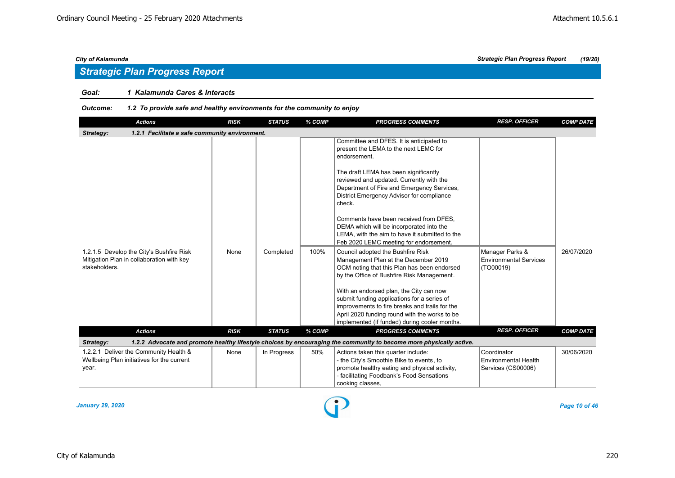## *Goal: 1 Kalamunda Cares & Interacts*

## *Outcome: 1.2 To provide safe and healthy environments for the community to enjoy*

| <b>Actions</b>                                                                                         | <b>RISK</b> | <b>STATUS</b> | % COMP | <b>PROGRESS COMMENTS</b>                                                                                                                                                                                                                                                                                                                                                                                                                                                      | <b>RESP. OFFICER</b>                                          | <b>COMP DATE</b> |  |  |  |  |
|--------------------------------------------------------------------------------------------------------|-------------|---------------|--------|-------------------------------------------------------------------------------------------------------------------------------------------------------------------------------------------------------------------------------------------------------------------------------------------------------------------------------------------------------------------------------------------------------------------------------------------------------------------------------|---------------------------------------------------------------|------------------|--|--|--|--|
| Strategy:<br>1.2.1 Facilitate a safe community environment.                                            |             |               |        |                                                                                                                                                                                                                                                                                                                                                                                                                                                                               |                                                               |                  |  |  |  |  |
|                                                                                                        |             |               |        | Committee and DFES. It is anticipated to<br>present the LEMA to the next LEMC for<br>endorsement.<br>The draft LEMA has been significantly<br>reviewed and updated. Currently with the<br>Department of Fire and Emergency Services,<br>District Emergency Advisor for compliance<br>check.<br>Comments have been received from DFES.<br>DEMA which will be incorporated into the<br>LEMA, with the aim to have it submitted to the<br>Feb 2020 LEMC meeting for endorsement. |                                                               |                  |  |  |  |  |
| 1.2.1.5 Develop the City's Bushfire Risk<br>Mitigation Plan in collaboration with key<br>stakeholders. | None        | Completed     | 100%   | Council adopted the Bushfire Risk<br>Management Plan at the December 2019<br>OCM noting that this Plan has been endorsed<br>by the Office of Bushfire Risk Management.<br>With an endorsed plan, the City can now<br>submit funding applications for a series of<br>improvements to fire breaks and trails for the<br>April 2020 funding round with the works to be<br>implemented (if funded) during cooler months.                                                          | Manager Parks &<br><b>Environmental Services</b><br>(TO00019) | 26/07/2020       |  |  |  |  |
| <b>Actions</b>                                                                                         | <b>RISK</b> | <b>STATUS</b> | % COMP | <b>PROGRESS COMMENTS</b>                                                                                                                                                                                                                                                                                                                                                                                                                                                      | <b>RESP. OFFICER</b>                                          | <b>COMP DATE</b> |  |  |  |  |
| Strategy:                                                                                              |             |               |        | 1.2.2 Advocate and promote healthy lifestyle choices by encouraging the community to become more physically active.                                                                                                                                                                                                                                                                                                                                                           |                                                               |                  |  |  |  |  |
| 1.2.2.1 Deliver the Community Health &<br>Wellbeing Plan initiatives for the current<br>year.          | None        | In Progress   | 50%    | Actions taken this quarter include:<br>- the City's Smoothie Bike to events, to<br>promote healthy eating and physical activity,<br>- facilitating Foodbank's Food Sensations<br>cooking classes,                                                                                                                                                                                                                                                                             | Coordinator<br>Environmental Health<br>Services (CS00006)     | 30/06/2020       |  |  |  |  |

*January 29, 2020 Page 10 of 46*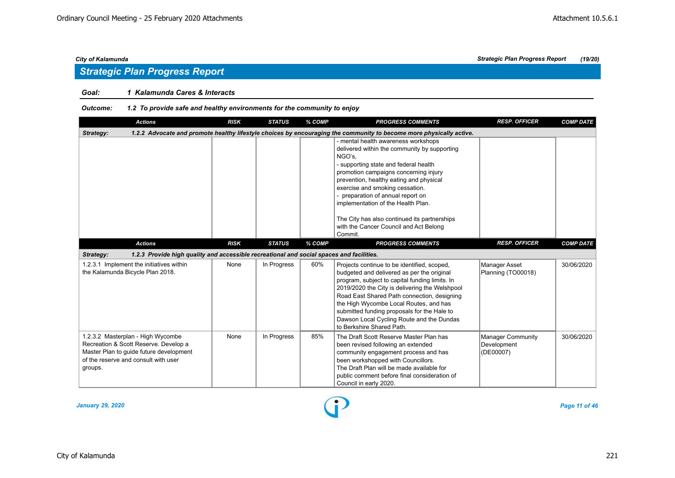## *Strategic Plan Progress Report*

## *Goal: 1 Kalamunda Cares & Interacts*

| <b>Actions</b>                                                                                                                                                           | <b>RISK</b> | <b>STATUS</b> | % COMP | <b>PROGRESS COMMENTS</b>                                                                                                                                                                                                                                                                                                                                                                                                                      | <b>RESP. OFFICER</b>                                 | <b>COMP DATE</b> |  |  |  |  |  |
|--------------------------------------------------------------------------------------------------------------------------------------------------------------------------|-------------|---------------|--------|-----------------------------------------------------------------------------------------------------------------------------------------------------------------------------------------------------------------------------------------------------------------------------------------------------------------------------------------------------------------------------------------------------------------------------------------------|------------------------------------------------------|------------------|--|--|--|--|--|
| 1.2.2 Advocate and promote healthy lifestyle choices by encouraging the community to become more physically active.<br>Strategy:                                         |             |               |        |                                                                                                                                                                                                                                                                                                                                                                                                                                               |                                                      |                  |  |  |  |  |  |
|                                                                                                                                                                          |             |               |        | - mental health awareness workshops<br>delivered within the community by supporting<br>NGO's,<br>- supporting state and federal health<br>promotion campaigns concerning injury<br>prevention, healthy eating and physical<br>exercise and smoking cessation.<br>- preparation of annual report on<br>implementation of the Health Plan.<br>The City has also continued its partnerships<br>with the Cancer Council and Act Belong<br>Commit. |                                                      |                  |  |  |  |  |  |
| <b>Actions</b>                                                                                                                                                           | <b>RISK</b> | <b>STATUS</b> | % COMP | <b>PROGRESS COMMENTS</b>                                                                                                                                                                                                                                                                                                                                                                                                                      | <b>RESP. OFFICER</b>                                 | <b>COMP DATE</b> |  |  |  |  |  |
| 1.2.3 Provide high quality and accessible recreational and social spaces and facilities.<br>Strategy:                                                                    |             |               |        |                                                                                                                                                                                                                                                                                                                                                                                                                                               |                                                      |                  |  |  |  |  |  |
| 1.2.3.1 Implement the initiatives within<br>the Kalamunda Bicycle Plan 2018.                                                                                             | None        | In Progress   | 60%    | Projects continue to be identified, scoped,<br>budgeted and delivered as per the original<br>program, subject to capital funding limits. In<br>2019/2020 the City is delivering the Welshpool<br>Road East Shared Path connection, designing<br>the High Wycombe Local Routes, and has<br>submitted funding proposals for the Hale to<br>Dawson Local Cycling Route and the Dundas<br>to Berkshire Shared Path.                               | Manager Asset<br>Planning (TO00018)                  | 30/06/2020       |  |  |  |  |  |
| 1.2.3.2 Masterplan - High Wycombe<br>Recreation & Scott Reserve. Develop a<br>Master Plan to guide future development<br>of the reserve and consult with user<br>groups. | None        | In Progress   | 85%    | The Draft Scott Reserve Master Plan has<br>been revised following an extended<br>community engagement process and has<br>been workshopped with Councillors.<br>The Draft Plan will be made available for<br>public comment before final consideration of<br>Council in early 2020.                                                                                                                                                            | <b>Manager Community</b><br>Development<br>(DE00007) | 30/06/2020       |  |  |  |  |  |

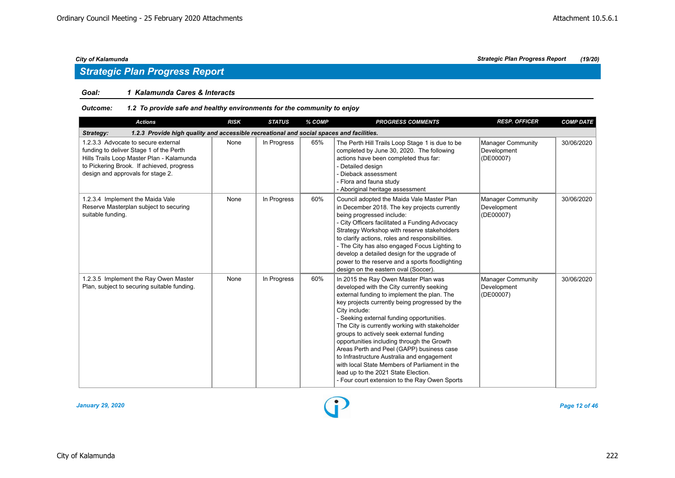## *Strategic Plan Progress Report*

## *Goal: 1 Kalamunda Cares & Interacts*

| <b>Actions</b>                                                                                                                                                                                                | <b>RISK</b> | <b>STATUS</b> | % COMP | <b>PROGRESS COMMENTS</b>                                                                                                                                                                                                                                                                                                                                                                                                                                                                                                                                                                                                         | <b>RESP. OFFICER</b>                                 | <b>COMP DATE</b> |  |  |  |  |  |
|---------------------------------------------------------------------------------------------------------------------------------------------------------------------------------------------------------------|-------------|---------------|--------|----------------------------------------------------------------------------------------------------------------------------------------------------------------------------------------------------------------------------------------------------------------------------------------------------------------------------------------------------------------------------------------------------------------------------------------------------------------------------------------------------------------------------------------------------------------------------------------------------------------------------------|------------------------------------------------------|------------------|--|--|--|--|--|
| 1.2.3 Provide high quality and accessible recreational and social spaces and facilities.<br>Strategy:                                                                                                         |             |               |        |                                                                                                                                                                                                                                                                                                                                                                                                                                                                                                                                                                                                                                  |                                                      |                  |  |  |  |  |  |
| 1.2.3.3 Advocate to secure external<br>funding to deliver Stage 1 of the Perth<br>Hills Trails Loop Master Plan - Kalamunda<br>to Pickering Brook. If achieved, progress<br>design and approvals for stage 2. | None        | In Progress   | 65%    | The Perth Hill Trails Loop Stage 1 is due to be<br>completed by June 30, 2020. The following<br>actions have been completed thus far:<br>- Detailed design<br>- Dieback assessment<br>- Flora and fauna study<br>- Aboriginal heritage assessment                                                                                                                                                                                                                                                                                                                                                                                | Manager Community<br>Development<br>(DE00007)        | 30/06/2020       |  |  |  |  |  |
| 1.2.3.4 Implement the Maida Vale<br>Reserve Masterplan subject to securing<br>suitable funding.                                                                                                               | None        | In Progress   | 60%    | Council adopted the Maida Vale Master Plan<br>in December 2018. The key projects currently<br>being progressed include:<br>- City Officers facilitated a Funding Advocacy<br>Strategy Workshop with reserve stakeholders<br>to clarify actions, roles and responsibilities.<br>- The City has also engaged Focus Lighting to<br>develop a detailed design for the upgrade of<br>power to the reserve and a sports floodlighting<br>design on the eastern oval (Soccer).                                                                                                                                                          | Manager Community<br>Development<br>(DE00007)        | 30/06/2020       |  |  |  |  |  |
| 1.2.3.5 Implement the Ray Owen Master<br>Plan, subject to securing suitable funding.                                                                                                                          | None        | In Progress   | 60%    | In 2015 the Ray Owen Master Plan was<br>developed with the City currently seeking<br>external funding to implement the plan. The<br>key projects currently being progressed by the<br>City include:<br>- Seeking external funding opportunities.<br>The City is currently working with stakeholder<br>groups to actively seek external funding<br>opportunities including through the Growth<br>Areas Perth and Peel (GAPP) business case<br>to Infrastructure Australia and engagement<br>with local State Members of Parliament in the<br>lead up to the 2021 State Election.<br>- Four court extension to the Ray Owen Sports | <b>Manager Community</b><br>Development<br>(DE00007) | 30/06/2020       |  |  |  |  |  |

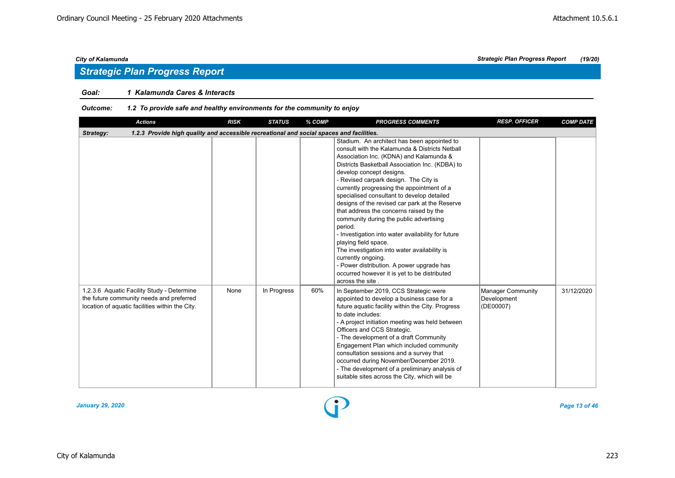## *Goal: 1 Kalamunda Cares & Interacts*

| <b>Actions</b>                                                                                                                            | <b>RISK</b> | <b>STATUS</b> | % COMP | <b>PROGRESS COMMENTS</b>                                                                                                                                                                                                                                                                                                                                                                                                                                                                                                                                                                                                                                                                                                                                                            | <b>RESP. OFFICER</b>                                 | <b>COMP DATE</b> |
|-------------------------------------------------------------------------------------------------------------------------------------------|-------------|---------------|--------|-------------------------------------------------------------------------------------------------------------------------------------------------------------------------------------------------------------------------------------------------------------------------------------------------------------------------------------------------------------------------------------------------------------------------------------------------------------------------------------------------------------------------------------------------------------------------------------------------------------------------------------------------------------------------------------------------------------------------------------------------------------------------------------|------------------------------------------------------|------------------|
| 1.2.3 Provide high quality and accessible recreational and social spaces and facilities.<br>Strategy:                                     |             |               |        |                                                                                                                                                                                                                                                                                                                                                                                                                                                                                                                                                                                                                                                                                                                                                                                     |                                                      |                  |
|                                                                                                                                           |             |               |        | Stadium. An architect has been appointed to<br>consult with the Kalamunda & Districts Netball<br>Association Inc. (KDNA) and Kalamunda &<br>Districts Basketball Association Inc. (KDBA) to<br>develop concept designs.<br>- Revised carpark design. The City is<br>currently progressing the appointment of a<br>specialised consultant to develop detailed<br>designs of the revised car park at the Reserve<br>that address the concerns raised by the<br>community during the public advertising<br>period.<br>- Investigation into water availability for future<br>playing field space.<br>The investigation into water availability is<br>currently ongoing.<br>- Power distribution. A power upgrade has<br>occurred however it is yet to be distributed<br>across the site |                                                      |                  |
| 1.2.3.6 Aquatic Facility Study - Determine<br>the future community needs and preferred<br>location of aquatic facilities within the City. | None        | In Progress   | 60%    | In September 2019, CCS Strategic were<br>appointed to develop a business case for a<br>future aquatic facility within the City. Progress<br>to date includes:<br>- A project initiation meeting was held between<br>Officers and CCS Strategic.<br>- The development of a draft Community<br>Engagement Plan which included community<br>consultation sessions and a survey that<br>occurred during November/December 2019.<br>- The development of a preliminary analysis of<br>suitable sites across the City, which will be                                                                                                                                                                                                                                                      | <b>Manager Community</b><br>Development<br>(DE00007) | 31/12/2020       |

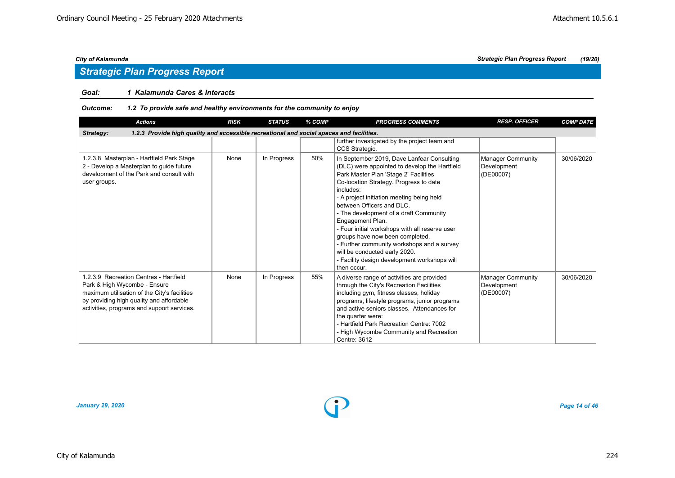## *Goal: 1 Kalamunda Cares & Interacts*

## *Outcome: 1.2 To provide safe and healthy environments for the community to enjoy*

| <b>Actions</b>                                                                                                                                                                                                   | <b>RISK</b> | <b>STATUS</b> | % COMP | <b>PROGRESS COMMENTS</b>                                                                                                                                                                                                                                                                                                                                                                                                                                                                                                                                               | <b>RESP. OFFICER</b>                                 | <b>COMP DATE</b> |
|------------------------------------------------------------------------------------------------------------------------------------------------------------------------------------------------------------------|-------------|---------------|--------|------------------------------------------------------------------------------------------------------------------------------------------------------------------------------------------------------------------------------------------------------------------------------------------------------------------------------------------------------------------------------------------------------------------------------------------------------------------------------------------------------------------------------------------------------------------------|------------------------------------------------------|------------------|
| 1.2.3 Provide high quality and accessible recreational and social spaces and facilities.<br>Strategy:                                                                                                            |             |               |        |                                                                                                                                                                                                                                                                                                                                                                                                                                                                                                                                                                        |                                                      |                  |
|                                                                                                                                                                                                                  |             |               |        | further investigated by the project team and<br>CCS Strategic.                                                                                                                                                                                                                                                                                                                                                                                                                                                                                                         |                                                      |                  |
| 1.2.3.8 Masterplan - Hartfield Park Stage<br>2 - Develop a Masterplan to guide future<br>development of the Park and consult with<br>user groups.                                                                | None        | In Progress   | 50%    | In September 2019, Dave Lanfear Consulting<br>(DLC) were appointed to develop the Hartfield<br>Park Master Plan 'Stage 2' Facilities<br>Co-location Strategy. Progress to date<br>includes:<br>- A project initiation meeting being held<br>between Officers and DLC.<br>- The development of a draft Community<br>Engagement Plan.<br>- Four initial workshops with all reserve user<br>groups have now been completed.<br>- Further community workshops and a survey<br>will be conducted early 2020.<br>- Facility design development workshops will<br>then occur. | Manager Community<br>Development<br>(DE00007)        | 30/06/2020       |
| 1.2.3.9 Recreation Centres - Hartfield<br>Park & High Wycombe - Ensure<br>maximum utilisation of the City's facilities<br>by providing high quality and affordable<br>activities, programs and support services. | None        | In Progress   | 55%    | A diverse range of activities are provided<br>through the City's Recreation Facilities<br>including gym, fitness classes, holiday<br>programs, lifestyle programs, junior programs<br>and active seniors classes. Attendances for<br>the quarter were:<br>- Hartfield Park Recreation Centre: 7002<br>- High Wycombe Community and Recreation<br>Centre: 3612                                                                                                                                                                                                          | <b>Manager Community</b><br>Development<br>(DE00007) | 30/06/2020       |

*January 29, 2020 Page 14 of 46*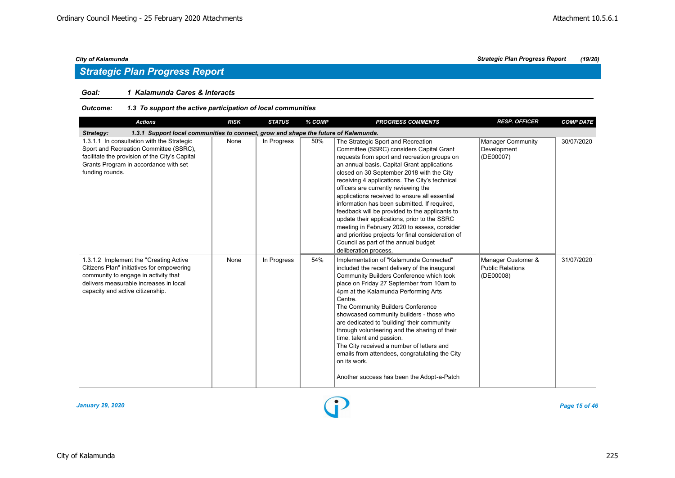## *Strategic Plan Progress Report*

## *Goal: 1 Kalamunda Cares & Interacts*

## *Outcome: 1.3 To support the active participation of local communities*

| <b>Actions</b>                                                                                                                                                                                            | <b>RISK</b> | <b>STATUS</b> | % COMP | <b>PROGRESS COMMENTS</b>                                                                                                                                                                                                                                                                                                                                                                                                                                                                                                                                                                                                                                                                       | <b>RESP. OFFICER</b>                                       | <b>COMP DATE</b> |  |  |  |  |
|-----------------------------------------------------------------------------------------------------------------------------------------------------------------------------------------------------------|-------------|---------------|--------|------------------------------------------------------------------------------------------------------------------------------------------------------------------------------------------------------------------------------------------------------------------------------------------------------------------------------------------------------------------------------------------------------------------------------------------------------------------------------------------------------------------------------------------------------------------------------------------------------------------------------------------------------------------------------------------------|------------------------------------------------------------|------------------|--|--|--|--|
| 1.3.1 Support local communities to connect, grow and shape the future of Kalamunda.<br>Strategy:                                                                                                          |             |               |        |                                                                                                                                                                                                                                                                                                                                                                                                                                                                                                                                                                                                                                                                                                |                                                            |                  |  |  |  |  |
| 1.3.1.1 In consultation with the Strategic<br>Sport and Recreation Committee (SSRC),<br>facilitate the provision of the City's Capital<br>Grants Program in accordance with set<br>funding rounds.        | None        | In Progress   | 50%    | The Strategic Sport and Recreation<br>Committee (SSRC) considers Capital Grant<br>requests from sport and recreation groups on<br>an annual basis. Capital Grant applications<br>closed on 30 September 2018 with the City<br>receiving 4 applications. The City's technical<br>officers are currently reviewing the<br>applications received to ensure all essential<br>information has been submitted. If required,<br>feedback will be provided to the applicants to<br>update their applications, prior to the SSRC<br>meeting in February 2020 to assess, consider<br>and prioritise projects for final consideration of<br>Council as part of the annual budget<br>deliberation process. | Manager Community<br>Development<br>(DE00007)              | 30/07/2020       |  |  |  |  |
| 1.3.1.2 Implement the "Creating Active<br>Citizens Plan" initiatives for empowering<br>community to engage in activity that<br>delivers measurable increases in local<br>capacity and active citizenship. | None        | In Progress   | 54%    | Implementation of "Kalamunda Connected"<br>included the recent delivery of the inaugural<br>Community Builders Conference which took<br>place on Friday 27 September from 10am to<br>4pm at the Kalamunda Performing Arts<br>Centre.<br>The Community Builders Conference<br>showcased community builders - those who<br>are dedicated to 'building' their community<br>through volunteering and the sharing of their<br>time, talent and passion.<br>The City received a number of letters and<br>emails from attendees, congratulating the City<br>on its work.<br>Another success has been the Adopt-a-Patch                                                                                | Manager Customer &<br><b>Public Relations</b><br>(DE00008) | 31/07/2020       |  |  |  |  |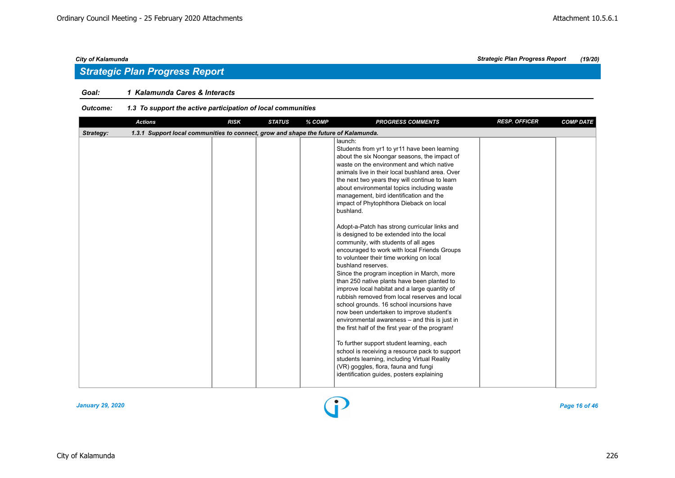## *Strategic Plan Progress Report*

## *Goal: 1 Kalamunda Cares & Interacts*

## *Outcome: 1.3 To support the active participation of local communities*

|           | <b>Actions</b>                                                                      | <b>RISK</b> | <b>STATUS</b> | % COMP | <b>PROGRESS COMMENTS</b>                                                                                                                                                                                                                                                                                                                                                                                                                                                                                                                                                                                                                                                                                                                                                                                                                                                                                                                                                                                                                                                                                                                                                                                                                                                                            | <b>RESP. OFFICER</b> | <b>COMP DATE</b> |
|-----------|-------------------------------------------------------------------------------------|-------------|---------------|--------|-----------------------------------------------------------------------------------------------------------------------------------------------------------------------------------------------------------------------------------------------------------------------------------------------------------------------------------------------------------------------------------------------------------------------------------------------------------------------------------------------------------------------------------------------------------------------------------------------------------------------------------------------------------------------------------------------------------------------------------------------------------------------------------------------------------------------------------------------------------------------------------------------------------------------------------------------------------------------------------------------------------------------------------------------------------------------------------------------------------------------------------------------------------------------------------------------------------------------------------------------------------------------------------------------------|----------------------|------------------|
| Strategy: | 1.3.1 Support local communities to connect, grow and shape the future of Kalamunda. |             |               |        |                                                                                                                                                                                                                                                                                                                                                                                                                                                                                                                                                                                                                                                                                                                                                                                                                                                                                                                                                                                                                                                                                                                                                                                                                                                                                                     |                      |                  |
|           |                                                                                     |             |               |        | launch:<br>Students from yr1 to yr11 have been learning<br>about the six Noongar seasons, the impact of<br>waste on the environment and which native<br>animals live in their local bushland area. Over<br>the next two years they will continue to learn<br>about environmental topics including waste<br>management, bird identification and the<br>impact of Phytophthora Dieback on local<br>bushland.<br>Adopt-a-Patch has strong curricular links and<br>is designed to be extended into the local<br>community, with students of all ages<br>encouraged to work with local Friends Groups<br>to volunteer their time working on local<br>bushland reserves.<br>Since the program inception in March, more<br>than 250 native plants have been planted to<br>improve local habitat and a large quantity of<br>rubbish removed from local reserves and local<br>school grounds. 16 school incursions have<br>now been undertaken to improve student's<br>environmental awareness - and this is just in<br>the first half of the first year of the program!<br>To further support student learning, each<br>school is receiving a resource pack to support<br>students learning, including Virtual Reality<br>(VR) goggles, flora, fauna and fungi<br>identification guides, posters explaining |                      |                  |
|           |                                                                                     |             |               |        |                                                                                                                                                                                                                                                                                                                                                                                                                                                                                                                                                                                                                                                                                                                                                                                                                                                                                                                                                                                                                                                                                                                                                                                                                                                                                                     |                      |                  |

*January 29, 2020 Page 16 of 46*

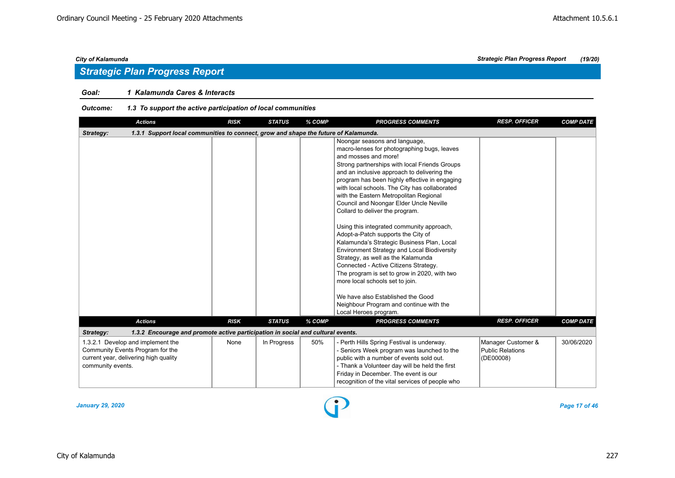## *Strategic Plan Progress Report*

## *Goal: 1 Kalamunda Cares & Interacts*

## *Outcome: 1.3 To support the active participation of local communities*

| <b>Actions</b>                                                                                                                      | <b>RISK</b> | <b>STATUS</b> | % COMP | <b>PROGRESS COMMENTS</b>                                                                                                                                                                                                                                                                                                                                                                                                                                                                                                                                                                                                                                                                                                                                                                                                                                                                         | <b>RESP. OFFICER</b>                                       | <b>COMP DATE</b> |
|-------------------------------------------------------------------------------------------------------------------------------------|-------------|---------------|--------|--------------------------------------------------------------------------------------------------------------------------------------------------------------------------------------------------------------------------------------------------------------------------------------------------------------------------------------------------------------------------------------------------------------------------------------------------------------------------------------------------------------------------------------------------------------------------------------------------------------------------------------------------------------------------------------------------------------------------------------------------------------------------------------------------------------------------------------------------------------------------------------------------|------------------------------------------------------------|------------------|
| 1.3.1 Support local communities to connect, grow and shape the future of Kalamunda.<br>Strategy:                                    |             |               |        |                                                                                                                                                                                                                                                                                                                                                                                                                                                                                                                                                                                                                                                                                                                                                                                                                                                                                                  |                                                            |                  |
|                                                                                                                                     |             |               |        | Noongar seasons and language,<br>macro-lenses for photographing bugs, leaves<br>and mosses and more!<br>Strong partnerships with local Friends Groups<br>and an inclusive approach to delivering the<br>program has been highly effective in engaging<br>with local schools. The City has collaborated<br>with the Eastern Metropolitan Regional<br>Council and Noongar Elder Uncle Neville<br>Collard to deliver the program.<br>Using this integrated community approach,<br>Adopt-a-Patch supports the City of<br>Kalamunda's Strategic Business Plan, Local<br><b>Environment Strategy and Local Biodiversity</b><br>Strategy, as well as the Kalamunda<br>Connected - Active Citizens Strategy.<br>The program is set to grow in 2020, with two<br>more local schools set to join.<br>We have also Established the Good<br>Neighbour Program and continue with the<br>Local Heroes program. |                                                            |                  |
| <b>Actions</b>                                                                                                                      | <b>RISK</b> | <b>STATUS</b> | % COMP | <b>PROGRESS COMMENTS</b>                                                                                                                                                                                                                                                                                                                                                                                                                                                                                                                                                                                                                                                                                                                                                                                                                                                                         | <b>RESP. OFFICER</b>                                       | <b>COMP DATE</b> |
| 1.3.2 Encourage and promote active participation in social and cultural events.<br>Strategy:                                        |             |               |        |                                                                                                                                                                                                                                                                                                                                                                                                                                                                                                                                                                                                                                                                                                                                                                                                                                                                                                  |                                                            |                  |
| 1.3.2.1 Develop and implement the<br>Community Events Program for the<br>current year, delivering high quality<br>community events. | None        | In Progress   | 50%    | Perth Hills Spring Festival is underway.<br>- Seniors Week program was launched to the<br>public with a number of events sold out.<br>- Thank a Volunteer day will be held the first<br>Friday in December. The event is our<br>recognition of the vital services of people who                                                                                                                                                                                                                                                                                                                                                                                                                                                                                                                                                                                                                  | Manager Customer &<br><b>Public Relations</b><br>(DE00008) | 30/06/2020       |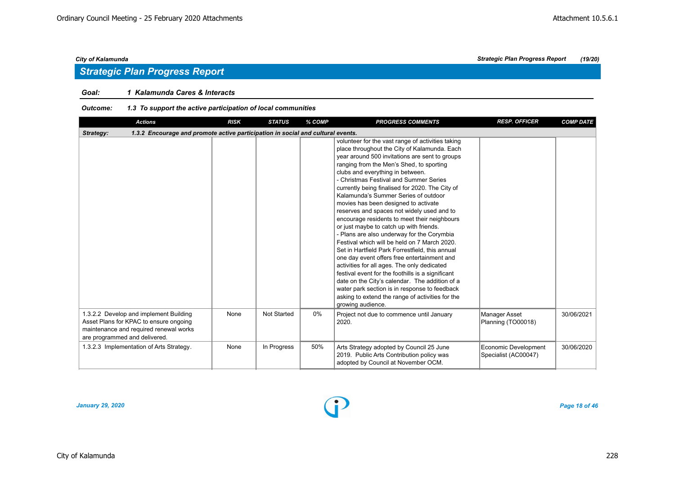## *Goal: 1 Kalamunda Cares & Interacts*

## *Outcome: 1.3 To support the active participation of local communities*

| <b>Actions</b>                                                                                                                                              | <b>RISK</b> | <b>STATUS</b> | % COMP | <b>PROGRESS COMMENTS</b>                                                                                                                                                                                                                                                                                                                                                                                                                                                                                                                                                                                                                                                                                                                                                                                                                                                                                                                                                                                                                  | <b>RESP. OFFICER</b>                         | <b>COMP DATE</b> |
|-------------------------------------------------------------------------------------------------------------------------------------------------------------|-------------|---------------|--------|-------------------------------------------------------------------------------------------------------------------------------------------------------------------------------------------------------------------------------------------------------------------------------------------------------------------------------------------------------------------------------------------------------------------------------------------------------------------------------------------------------------------------------------------------------------------------------------------------------------------------------------------------------------------------------------------------------------------------------------------------------------------------------------------------------------------------------------------------------------------------------------------------------------------------------------------------------------------------------------------------------------------------------------------|----------------------------------------------|------------------|
| 1.3.2 Encourage and promote active participation in social and cultural events.<br>Strategy:                                                                |             |               |        |                                                                                                                                                                                                                                                                                                                                                                                                                                                                                                                                                                                                                                                                                                                                                                                                                                                                                                                                                                                                                                           |                                              |                  |
|                                                                                                                                                             |             |               |        | volunteer for the vast range of activities taking<br>place throughout the City of Kalamunda. Each<br>year around 500 invitations are sent to groups<br>ranging from the Men's Shed, to sporting<br>clubs and everything in between.<br>- Christmas Festival and Summer Series<br>currently being finalised for 2020. The City of<br>Kalamunda's Summer Series of outdoor<br>movies has been designed to activate<br>reserves and spaces not widely used and to<br>encourage residents to meet their neighbours<br>or just maybe to catch up with friends.<br>- Plans are also underway for the Corymbia<br>Festival which will be held on 7 March 2020.<br>Set in Hartfield Park Forrestfield, this annual<br>one day event offers free entertainment and<br>activities for all ages. The only dedicated<br>festival event for the foothills is a significant<br>date on the City's calendar. The addition of a<br>water park section is in response to feedback<br>asking to extend the range of activities for the<br>growing audience. |                                              |                  |
| 1.3.2.2 Develop and implement Building<br>Asset Plans for KPAC to ensure ongoing<br>maintenance and required renewal works<br>are programmed and delivered. | None        | Not Started   | 0%     | Project not due to commence until January<br>2020.                                                                                                                                                                                                                                                                                                                                                                                                                                                                                                                                                                                                                                                                                                                                                                                                                                                                                                                                                                                        | <b>Manager Asset</b><br>Planning (TO00018)   | 30/06/2021       |
| 1.3.2.3 Implementation of Arts Strategy.                                                                                                                    | None        | In Progress   | 50%    | Arts Strategy adopted by Council 25 June<br>2019. Public Arts Contribution policy was<br>adopted by Council at November OCM.                                                                                                                                                                                                                                                                                                                                                                                                                                                                                                                                                                                                                                                                                                                                                                                                                                                                                                              | Economic Development<br>Specialist (AC00047) | 30/06/2020       |

*January 29, 2020 Page 18 of 46*

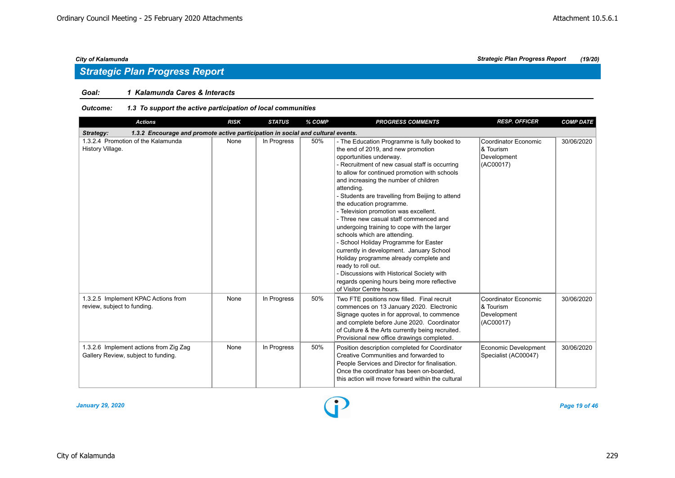## *Strategic Plan Progress Report*

## *Goal: 1 Kalamunda Cares & Interacts*

## *Outcome: 1.3 To support the active participation of local communities*

| <b>Actions</b>                                                                               | <b>RISK</b> | <b>STATUS</b> | % COMP | <b>PROGRESS COMMENTS</b>                                                                                                                                                                                                                                                                                                                                                                                                                                                                                                                                                                                                                                                                                                                                                                                | <b>RESP. OFFICER</b>                                          | <b>COMP DATE</b> |
|----------------------------------------------------------------------------------------------|-------------|---------------|--------|---------------------------------------------------------------------------------------------------------------------------------------------------------------------------------------------------------------------------------------------------------------------------------------------------------------------------------------------------------------------------------------------------------------------------------------------------------------------------------------------------------------------------------------------------------------------------------------------------------------------------------------------------------------------------------------------------------------------------------------------------------------------------------------------------------|---------------------------------------------------------------|------------------|
| 1.3.2 Encourage and promote active participation in social and cultural events.<br>Strategy: |             |               |        |                                                                                                                                                                                                                                                                                                                                                                                                                                                                                                                                                                                                                                                                                                                                                                                                         |                                                               |                  |
| 1.3.2.4 Promotion of the Kalamunda<br>History Village.                                       | None        | In Progress   | 50%    | - The Education Programme is fully booked to<br>the end of 2019, and new promotion<br>opportunities underway.<br>- Recruitment of new casual staff is occurring<br>to allow for continued promotion with schools<br>and increasing the number of children<br>attending.<br>- Students are travelling from Beijing to attend<br>the education programme.<br>- Television promotion was excellent.<br>- Three new casual staff commenced and<br>undergoing training to cope with the larger<br>schools which are attending.<br>- School Holiday Programme for Easter<br>currently in development. January School<br>Holiday programme already complete and<br>ready to roll out.<br>- Discussions with Historical Society with<br>regards opening hours being more reflective<br>of Visitor Centre hours. | Coordinator Economic<br>& Tourism<br>Development<br>(AC00017) | 30/06/2020       |
| 1.3.2.5 Implement KPAC Actions from<br>review, subject to funding.                           | None        | In Progress   | 50%    | Two FTE positions now filled. Final recruit<br>commences on 13 January 2020. Electronic<br>Signage quotes in for approval, to commence<br>and complete before June 2020. Coordinator<br>of Culture & the Arts currently being recruited.<br>Provisional new office drawings completed.                                                                                                                                                                                                                                                                                                                                                                                                                                                                                                                  | Coordinator Economic<br>& Tourism<br>Development<br>(AC00017) | 30/06/2020       |
| 1.3.2.6 Implement actions from Zig Zag<br>Gallery Review, subject to funding.                | None        | In Progress   | 50%    | Position description completed for Coordinator<br>Creative Communities and forwarded to<br>People Services and Director for finalisation.<br>Once the coordinator has been on-boarded.<br>this action will move forward within the cultural                                                                                                                                                                                                                                                                                                                                                                                                                                                                                                                                                             | Economic Development<br>Specialist (AC00047)                  | 30/06/2020       |

*January 29, 2020 Page 19 of 46*

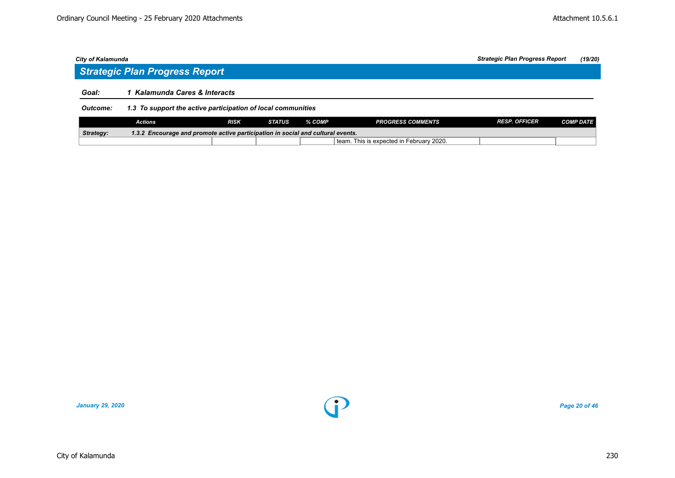## *Strategic Plan Progress Report*

## *Goal: 1 Kalamunda Cares & Interacts*

## *Outcome: 1.3 To support the active participation of local communities*

|                                                                                          | <b>Actions</b> | <b>RISK</b> | <b>STATUS</b> | $%$ COMP $2$ | <b>PROGRESS COMMENTS</b>           | <b>RESP. OFFICER</b> | <i>COMP DATE</i> |  |
|------------------------------------------------------------------------------------------|----------------|-------------|---------------|--------------|------------------------------------|----------------------|------------------|--|
| Strategy:<br>' Encourage and promote active participation in social and cultural events. |                |             |               |              |                                    |                      |                  |  |
|                                                                                          |                |             |               | team.        | This is expected in February 2020. |                      |                  |  |

*January 29, 2020 Page 20 of 46*

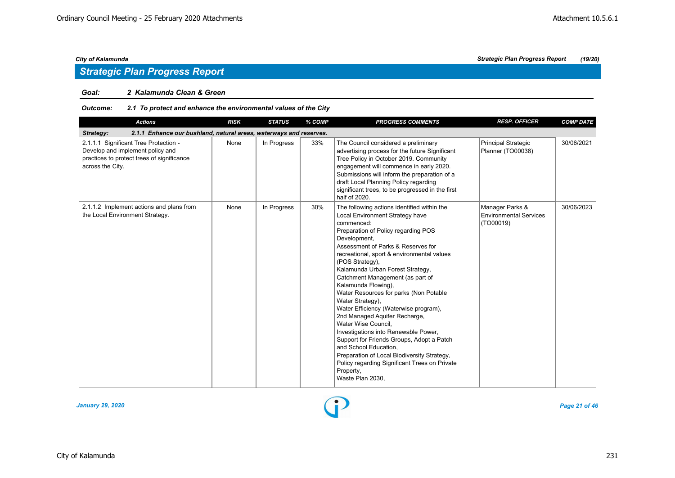## *Strategic Plan Progress Report*

### *Goal: 2 Kalamunda Clean & Green*

## *Outcome: 2.1 To protect and enhance the environmental values of the City*

| <b>Actions</b>                                                                                                                              | <b>RISK</b> | <b>STATUS</b> | % COMP | <b>PROGRESS COMMENTS</b>                                                                                                                                                                                                                                                                                                                                                                                                                                                                                                                                                                                                                                                                                                                                                | <b>RESP. OFFICER</b>                                          | <b>COMP DATE</b> |
|---------------------------------------------------------------------------------------------------------------------------------------------|-------------|---------------|--------|-------------------------------------------------------------------------------------------------------------------------------------------------------------------------------------------------------------------------------------------------------------------------------------------------------------------------------------------------------------------------------------------------------------------------------------------------------------------------------------------------------------------------------------------------------------------------------------------------------------------------------------------------------------------------------------------------------------------------------------------------------------------------|---------------------------------------------------------------|------------------|
| Strategy:<br>2.1.1 Enhance our bushland, natural areas, waterways and reserves.                                                             |             |               |        |                                                                                                                                                                                                                                                                                                                                                                                                                                                                                                                                                                                                                                                                                                                                                                         |                                                               |                  |
| 2.1.1.1 Significant Tree Protection -<br>Develop and implement policy and<br>practices to protect trees of significance<br>across the City. | None        | In Progress   | 33%    | The Council considered a preliminary<br>advertising process for the future Significant<br>Tree Policy in October 2019. Community<br>engagement will commence in early 2020.<br>Submissions will inform the preparation of a<br>draft Local Planning Policy regarding<br>significant trees, to be progressed in the first<br>half of 2020.                                                                                                                                                                                                                                                                                                                                                                                                                               | Principal Strategic<br>Planner (TO00038)                      | 30/06/2021       |
| 2.1.1.2 Implement actions and plans from<br>the Local Environment Strategy.                                                                 | None        | In Progress   | 30%    | The following actions identified within the<br>Local Environment Strategy have<br>commenced:<br>Preparation of Policy regarding POS<br>Development,<br>Assessment of Parks & Reserves for<br>recreational, sport & environmental values<br>(POS Strategy),<br>Kalamunda Urban Forest Strategy,<br>Catchment Management (as part of<br>Kalamunda Flowing),<br>Water Resources for parks (Non Potable<br>Water Strategy),<br>Water Efficiency (Waterwise program),<br>2nd Managed Aquifer Recharge,<br>Water Wise Council.<br>Investigations into Renewable Power,<br>Support for Friends Groups, Adopt a Patch<br>and School Education,<br>Preparation of Local Biodiversity Strategy,<br>Policy regarding Significant Trees on Private<br>Property,<br>Waste Plan 2030, | Manager Parks &<br><b>Environmental Services</b><br>(TO00019) | 30/06/2023       |

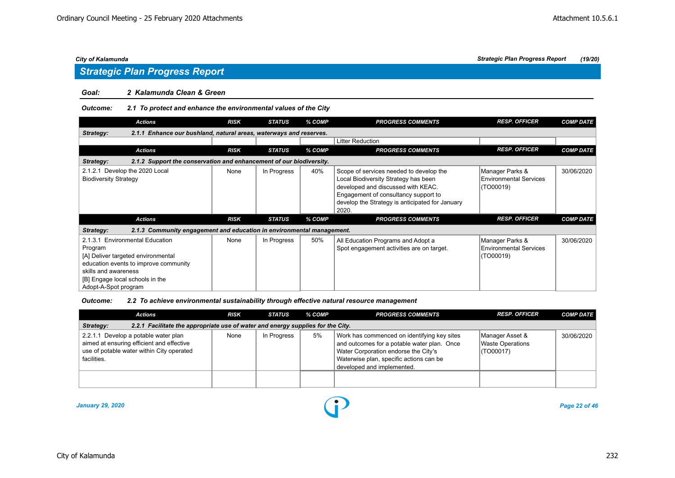### *Goal: 2 Kalamunda Clean & Green*

#### *Outcome: 2.1 To protect and enhance the environmental values of the City*

| <b>Actions</b>                                                                                                                                                                                               | <b>RISK</b> | <b>STATUS</b> | % COMP | <b>PROGRESS COMMENTS</b>                                                                                                                                                                                                  | <b>RESP. OFFICER</b>                                          | <b>COMP DATE</b> |  |  |  |
|--------------------------------------------------------------------------------------------------------------------------------------------------------------------------------------------------------------|-------------|---------------|--------|---------------------------------------------------------------------------------------------------------------------------------------------------------------------------------------------------------------------------|---------------------------------------------------------------|------------------|--|--|--|
| 2.1.1 Enhance our bushland, natural areas, waterways and reserves.<br>Strategy:                                                                                                                              |             |               |        |                                                                                                                                                                                                                           |                                                               |                  |  |  |  |
|                                                                                                                                                                                                              |             |               |        | <b>Litter Reduction</b>                                                                                                                                                                                                   |                                                               |                  |  |  |  |
| <b>Actions</b>                                                                                                                                                                                               | <b>RISK</b> | <b>STATUS</b> | % COMP | <b>PROGRESS COMMENTS</b>                                                                                                                                                                                                  | <b>RESP. OFFICER</b>                                          | <b>COMP DATE</b> |  |  |  |
| 2.1.2 Support the conservation and enhancement of our biodiversity.<br>Strategy:                                                                                                                             |             |               |        |                                                                                                                                                                                                                           |                                                               |                  |  |  |  |
| 2.1.2.1 Develop the 2020 Local<br><b>Biodiversity Strategy</b>                                                                                                                                               | None        | In Progress   | 40%    | Scope of services needed to develop the<br>Local Biodiversity Strategy has been<br>developed and discussed with KEAC.<br>Engagement of consultancy support to<br>develop the Strategy is anticipated for January<br>2020. | Manager Parks &<br><b>Environmental Services</b><br>(TO00019) | 30/06/2020       |  |  |  |
| <b>Actions</b>                                                                                                                                                                                               | <b>RISK</b> | <b>STATUS</b> | % COMP | <b>PROGRESS COMMENTS</b>                                                                                                                                                                                                  | <b>RESP. OFFICER</b>                                          | <b>COMP DATE</b> |  |  |  |
| 2.1.3 Community engagement and education in environmental management.<br>Strategy:                                                                                                                           |             |               |        |                                                                                                                                                                                                                           |                                                               |                  |  |  |  |
| 2.1.3.1 Environmental Education<br>Program<br>[A] Deliver targeted environmental<br>education events to improve community<br>skills and awareness<br>[B] Engage local schools in the<br>Adopt-A-Spot program | None        | In Progress   | 50%    | All Education Programs and Adopt a<br>Spot engagement activities are on target.                                                                                                                                           | Manager Parks &<br><b>Environmental Services</b><br>(TO00019) | 30/06/2020       |  |  |  |

*Outcome: 2.2 To achieve environmental sustainability through effective natural resource management*

| <b>Actions</b>                                                                                                                                | <b>RISK</b> | <b>STATUS</b> | % COMP | <b>PROGRESS COMMENTS</b>                                                                                                                                                                                    | <b>RESP. OFFICER</b>                                    | <b>COMP DATE</b> |  |  |  |  |
|-----------------------------------------------------------------------------------------------------------------------------------------------|-------------|---------------|--------|-------------------------------------------------------------------------------------------------------------------------------------------------------------------------------------------------------------|---------------------------------------------------------|------------------|--|--|--|--|
| 2.2.1 Facilitate the appropriate use of water and energy supplies for the City.<br>Strategy:                                                  |             |               |        |                                                                                                                                                                                                             |                                                         |                  |  |  |  |  |
| 2.2.1.1 Develop a potable water plan<br>aimed at ensuring efficient and effective<br>use of potable water within City operated<br>facilities. | None        | In Progress   | 5%     | Work has commenced on identifying key sites<br>and outcomes for a potable water plan. Once<br>Water Corporation endorse the City's<br>Waterwise plan, specific actions can be<br>developed and implemented. | Manager Asset &<br><b>Waste Operations</b><br>(TO00017) | 30/06/2020       |  |  |  |  |
|                                                                                                                                               |             |               |        |                                                                                                                                                                                                             |                                                         |                  |  |  |  |  |

*January 29, 2020 Page 22 of 46*

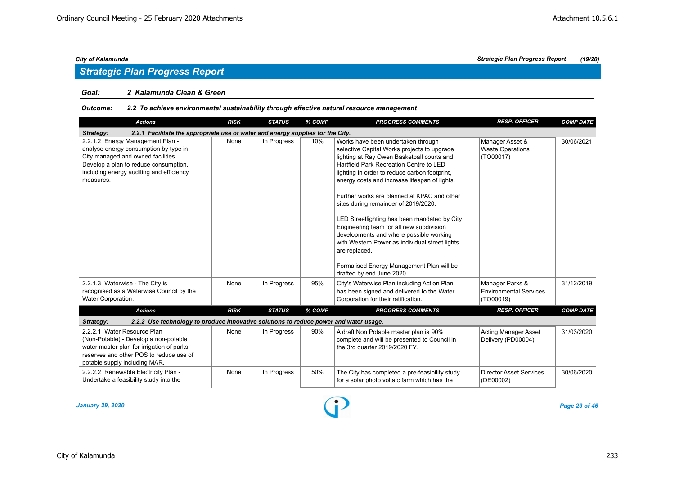### *Goal: 2 Kalamunda Clean & Green*

## *Outcome: 2.2 To achieve environmental sustainability through effective natural resource management*

| <b>Actions</b>                                                                                                                                                                                                    | <b>RISK</b> | <b>STATUS</b> | % COMP | <b>PROGRESS COMMENTS</b>                                                                                                                                                                                                                                                                                                                                                                                                                                                                                                                                                                                                                                | <b>RESP. OFFICER</b>                                          | <b>COMP DATE</b> |
|-------------------------------------------------------------------------------------------------------------------------------------------------------------------------------------------------------------------|-------------|---------------|--------|---------------------------------------------------------------------------------------------------------------------------------------------------------------------------------------------------------------------------------------------------------------------------------------------------------------------------------------------------------------------------------------------------------------------------------------------------------------------------------------------------------------------------------------------------------------------------------------------------------------------------------------------------------|---------------------------------------------------------------|------------------|
| 2.2.1 Facilitate the appropriate use of water and energy supplies for the City.<br>Strategy:                                                                                                                      |             |               |        |                                                                                                                                                                                                                                                                                                                                                                                                                                                                                                                                                                                                                                                         |                                                               |                  |
| 2.2.1.2 Energy Management Plan -<br>analyse energy consumption by type in<br>City managed and owned facilities.<br>Develop a plan to reduce consumption,<br>including energy auditing and efficiency<br>measures. | None        | In Progress   | 10%    | Works have been undertaken through<br>selective Capital Works projects to upgrade<br>lighting at Ray Owen Basketball courts and<br>Hartfield Park Recreation Centre to LED<br>lighting in order to reduce carbon footprint,<br>energy costs and increase lifespan of lights.<br>Further works are planned at KPAC and other<br>sites during remainder of 2019/2020.<br>LED Streetlighting has been mandated by City<br>Engineering team for all new subdivision<br>developments and where possible working<br>with Western Power as individual street lights<br>are replaced.<br>Formalised Energy Management Plan will be<br>drafted by end June 2020. | Manager Asset &<br><b>Waste Operations</b><br>(TO00017)       | 30/06/2021       |
| 2.2.1.3 Waterwise - The City is<br>recognised as a Waterwise Council by the<br>Water Corporation.                                                                                                                 | None        | In Progress   | 95%    | City's Waterwise Plan including Action Plan<br>has been signed and delivered to the Water<br>Corporation for their ratification.                                                                                                                                                                                                                                                                                                                                                                                                                                                                                                                        | Manager Parks &<br><b>Environmental Services</b><br>(TO00019) | 31/12/2019       |
| <b>Actions</b>                                                                                                                                                                                                    | <b>RISK</b> | <b>STATUS</b> | % COMP | <b>PROGRESS COMMENTS</b>                                                                                                                                                                                                                                                                                                                                                                                                                                                                                                                                                                                                                                | <b>RESP. OFFICER</b>                                          | <b>COMP DATE</b> |
| Strategy:<br>2.2.2 Use technology to produce innovative solutions to reduce power and water usage.                                                                                                                |             |               |        |                                                                                                                                                                                                                                                                                                                                                                                                                                                                                                                                                                                                                                                         |                                                               |                  |
| 2.2.2.1 Water Resource Plan<br>(Non-Potable) - Develop a non-potable<br>water master plan for irrigation of parks,<br>reserves and other POS to reduce use of<br>potable supply including MAR.                    | None        | In Progress   | 90%    | A draft Non Potable master plan is 90%<br>complete and will be presented to Council in<br>the 3rd quarter 2019/2020 FY.                                                                                                                                                                                                                                                                                                                                                                                                                                                                                                                                 | <b>Acting Manager Asset</b><br>Delivery (PD00004)             | 31/03/2020       |
| 2.2.2.2 Renewable Electricity Plan -<br>Undertake a feasibility study into the                                                                                                                                    | None        | In Progress   | 50%    | The City has completed a pre-feasibility study<br>for a solar photo voltaic farm which has the                                                                                                                                                                                                                                                                                                                                                                                                                                                                                                                                                          | <b>Director Asset Services</b><br>(DE00002)                   | 30/06/2020       |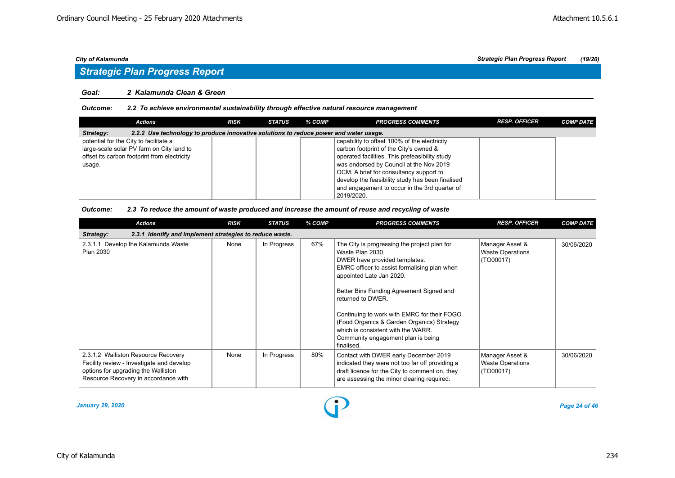### *Goal: 2 Kalamunda Clean & Green*

#### *Outcome: 2.2 To achieve environmental sustainability through effective natural resource management*

| Actions                                                                                            | <b>RISK</b> | <b>STATUS</b> | % COMP | <b>PROGRESS COMMENTS</b>                         | <b>RESP. OFFICER</b> | <b>COMP DATE</b> |  |  |  |
|----------------------------------------------------------------------------------------------------|-------------|---------------|--------|--------------------------------------------------|----------------------|------------------|--|--|--|
| 2.2.2 Use technology to produce innovative solutions to reduce power and water usage.<br>Strategy: |             |               |        |                                                  |                      |                  |  |  |  |
| potential for the City to facilitate a                                                             |             |               |        | capability to offset 100% of the electricity     |                      |                  |  |  |  |
| large-scale solar PV farm on City land to                                                          |             |               |        | carbon footprint of the City's owned &           |                      |                  |  |  |  |
| offset its carbon footprint from electricity                                                       |             |               |        | operated facilities. This prefeasibility study   |                      |                  |  |  |  |
| usage.                                                                                             |             |               |        | was endorsed by Council at the Nov 2019          |                      |                  |  |  |  |
|                                                                                                    |             |               |        | OCM. A brief for consultancy support to          |                      |                  |  |  |  |
|                                                                                                    |             |               |        | develop the feasibility study has been finalised |                      |                  |  |  |  |
|                                                                                                    |             |               |        | and engagement to occur in the 3rd guarter of    |                      |                  |  |  |  |
|                                                                                                    |             |               |        | 2019/2020.                                       |                      |                  |  |  |  |

#### *Outcome: 2.3 To reduce the amount of waste produced and increase the amount of reuse and recycling of waste*

|                                     | <b>Actions</b>                                                                                                           | <b>RISK</b> | <b>STATUS</b> | % COMP | <b>PROGRESS COMMENTS</b>                                                                                                                                                                                                                                                                                                                                                                                                              | <b>RESP. OFFICER</b>                                    | <b>COMP DATE</b> |
|-------------------------------------|--------------------------------------------------------------------------------------------------------------------------|-------------|---------------|--------|---------------------------------------------------------------------------------------------------------------------------------------------------------------------------------------------------------------------------------------------------------------------------------------------------------------------------------------------------------------------------------------------------------------------------------------|---------------------------------------------------------|------------------|
| Strategy:                           | 2.3.1 Identify and implement strategies to reduce waste.                                                                 |             |               |        |                                                                                                                                                                                                                                                                                                                                                                                                                                       |                                                         |                  |
| Plan 2030                           | 2.3.1.1 Develop the Kalamunda Waste                                                                                      | None        | In Progress   | 67%    | The City is progressing the project plan for<br>Waste Plan 2030.<br>DWER have provided templates.<br>EMRC officer to assist formalising plan when<br>appointed Late Jan 2020.<br>Better Bins Funding Agreement Signed and<br>returned to DWER.<br>Continuing to work with EMRC for their FOGO<br>(Food Organics & Garden Organics) Strategy<br>which is consistent with the WARR.<br>Community engagement plan is being<br>finalised. | Manager Asset &<br><b>Waste Operations</b><br>(TO00017) | 30/06/2020       |
| options for upgrading the Walliston | 2.3.1.2 Walliston Resource Recovery<br>Facility review - Investigate and develop<br>Resource Recovery in accordance with | None        | In Progress   | 80%    | Contact with DWER early December 2019<br>indicated they were not too far off providing a<br>draft licence for the City to comment on, they<br>are assessing the minor clearing required.                                                                                                                                                                                                                                              | Manager Asset &<br><b>Waste Operations</b><br>(TO00017) | 30/06/2020       |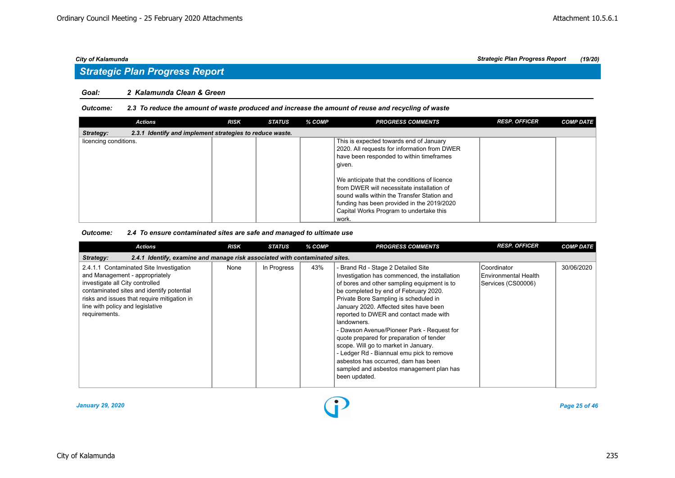## *Strategic Plan Progress Report*

### *Goal: 2 Kalamunda Clean & Green*

#### *Outcome: 2.3 To reduce the amount of waste produced and increase the amount of reuse and recycling of waste*

| <b>Actions</b>                                                        | <b>RISK</b> | <b>STATUS</b> | % COMP | <b>PROGRESS COMMENTS</b>                                                                                                                                                                                                                    | <b>RESP. OFFICER</b> | <b>COMP DATE</b> |
|-----------------------------------------------------------------------|-------------|---------------|--------|---------------------------------------------------------------------------------------------------------------------------------------------------------------------------------------------------------------------------------------------|----------------------|------------------|
| 2.3.1 Identify and implement strategies to reduce waste.<br>Strategy: |             |               |        |                                                                                                                                                                                                                                             |                      |                  |
| licencing conditions.                                                 |             |               |        | This is expected towards end of January                                                                                                                                                                                                     |                      |                  |
|                                                                       |             |               |        | 2020. All requests for information from DWER                                                                                                                                                                                                |                      |                  |
|                                                                       |             |               |        | have been responded to within timeframes                                                                                                                                                                                                    |                      |                  |
|                                                                       |             |               |        | given.                                                                                                                                                                                                                                      |                      |                  |
|                                                                       |             |               |        | We anticipate that the conditions of licence<br>from DWER will necessitate installation of<br>sound walls within the Transfer Station and<br>funding has been provided in the 2019/2020<br>Capital Works Program to undertake this<br>work. |                      |                  |

#### *Outcome: 2.4 To ensure contaminated sites are safe and managed to ultimate use*

| <b>Actions</b>                                                                                                                                                                                                                                                | <b>RISK</b> | <b>STATUS</b> | % COMP | <b>PROGRESS COMMENTS</b>                                                                                                                                                                                                                                                                                                                                                                                                                                                                                                                                                                                   | <b>RESP. OFFICER</b>                                      | <b>COMP DATE</b> |  |  |  |  |
|---------------------------------------------------------------------------------------------------------------------------------------------------------------------------------------------------------------------------------------------------------------|-------------|---------------|--------|------------------------------------------------------------------------------------------------------------------------------------------------------------------------------------------------------------------------------------------------------------------------------------------------------------------------------------------------------------------------------------------------------------------------------------------------------------------------------------------------------------------------------------------------------------------------------------------------------------|-----------------------------------------------------------|------------------|--|--|--|--|
| 2.4.1 Identify, examine and manage risk associated with contaminated sites.<br>Strategy:                                                                                                                                                                      |             |               |        |                                                                                                                                                                                                                                                                                                                                                                                                                                                                                                                                                                                                            |                                                           |                  |  |  |  |  |
| 2.4.1.1 Contaminated Site Investigation<br>and Management - appropriately<br>investigate all City controlled<br>contaminated sites and identify potential<br>risks and issues that require mitigation in<br>line with policy and legislative<br>requirements. | None        | In Progress   | 43%    | - Brand Rd - Stage 2 Detailed Site<br>Investigation has commenced, the installation<br>of bores and other sampling equipment is to<br>be completed by end of February 2020.<br>Private Bore Sampling is scheduled in<br>January 2020. Affected sites have been<br>reported to DWER and contact made with<br>landowners.<br>- Dawson Avenue/Pioneer Park - Request for<br>quote prepared for preparation of tender<br>scope. Will go to market in January.<br>- Ledger Rd - Biannual emu pick to remove<br>asbestos has occurred, dam has been<br>sampled and asbestos management plan has<br>been updated. | Coordinator<br>Environmental Health<br>Services (CS00006) | 30/06/2020       |  |  |  |  |

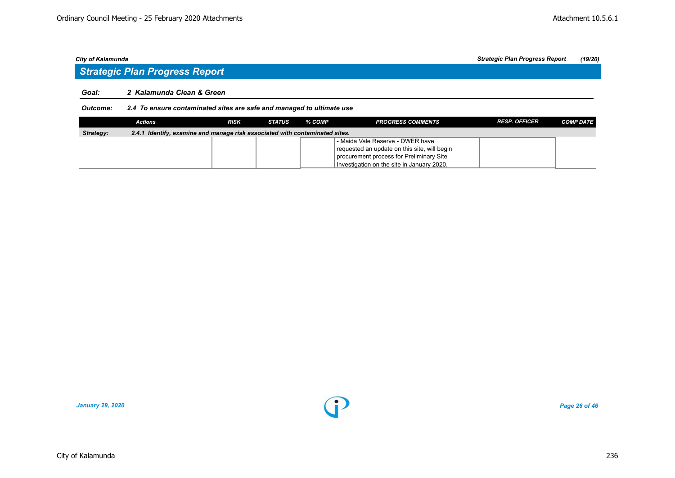### *Goal: 2 Kalamunda Clean & Green*

#### *Outcome: 2.4 To ensure contaminated sites are safe and managed to ultimate use*

|           | Actions                                                                     | <b>RISK</b> | <b>STATUS</b> | % COMP | <b>PROGRESS COMMENTS</b>                     | <b>RESP. OFFICER</b> | <b>COMP DATE</b> |  |  |  |
|-----------|-----------------------------------------------------------------------------|-------------|---------------|--------|----------------------------------------------|----------------------|------------------|--|--|--|
| Strategy: | 2.4.1 Identify, examine and manage risk associated with contaminated sites. |             |               |        |                                              |                      |                  |  |  |  |
|           |                                                                             |             |               |        | - Maida Vale Reserve - DWER have             |                      |                  |  |  |  |
|           |                                                                             |             |               |        | requested an update on this site, will begin |                      |                  |  |  |  |
|           |                                                                             |             |               |        | procurement process for Preliminary Site     |                      |                  |  |  |  |
|           |                                                                             |             |               |        | Investigation on the site in January 2020.   |                      |                  |  |  |  |

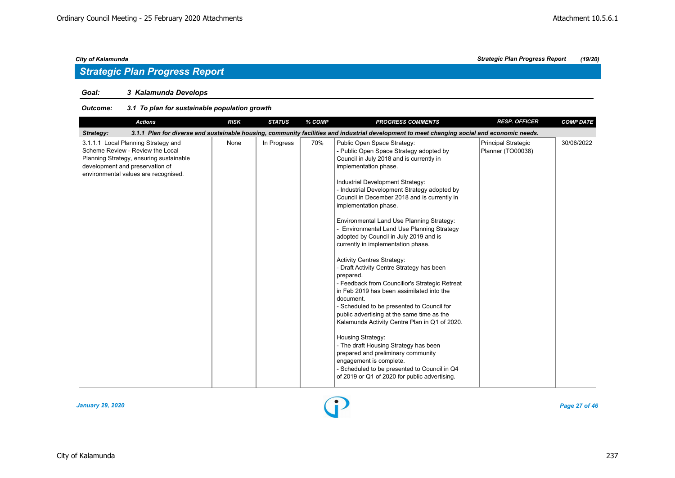## *Goal: 3 Kalamunda Develops*

| <b>Actions</b>                                                                                                                                                                                | <b>RISK</b> | <b>STATUS</b> | % COMP | <b>PROGRESS COMMENTS</b>                                                                                                                                                                                                                                                                                                                                                                                                                                                                                                                                                                                                                                                                                                                                                                                                                                                                                                                                                                                                                                                         | <b>RESP. OFFICER</b>                     | <b>COMP DATE</b> |
|-----------------------------------------------------------------------------------------------------------------------------------------------------------------------------------------------|-------------|---------------|--------|----------------------------------------------------------------------------------------------------------------------------------------------------------------------------------------------------------------------------------------------------------------------------------------------------------------------------------------------------------------------------------------------------------------------------------------------------------------------------------------------------------------------------------------------------------------------------------------------------------------------------------------------------------------------------------------------------------------------------------------------------------------------------------------------------------------------------------------------------------------------------------------------------------------------------------------------------------------------------------------------------------------------------------------------------------------------------------|------------------------------------------|------------------|
| Strategy:                                                                                                                                                                                     |             |               |        | 3.1.1 Plan for diverse and sustainable housing, community facilities and industrial development to meet changing social and economic needs.                                                                                                                                                                                                                                                                                                                                                                                                                                                                                                                                                                                                                                                                                                                                                                                                                                                                                                                                      |                                          |                  |
| 3.1.1.1 Local Planning Strategy and<br>Scheme Review - Review the Local<br>Planning Strategy, ensuring sustainable<br>development and preservation of<br>environmental values are recognised. | None        | In Progress   | 70%    | Public Open Space Strategy:<br>- Public Open Space Strategy adopted by<br>Council in July 2018 and is currently in<br>implementation phase.<br>Industrial Development Strategy:<br>- Industrial Development Strategy adopted by<br>Council in December 2018 and is currently in<br>implementation phase.<br>Environmental Land Use Planning Strategy:<br><b>Environmental Land Use Planning Strategy</b><br>adopted by Council in July 2019 and is<br>currently in implementation phase.<br><b>Activity Centres Strategy:</b><br>- Draft Activity Centre Strategy has been<br>prepared.<br>- Feedback from Councillor's Strategic Retreat<br>in Feb 2019 has been assimilated into the<br>document.<br>- Scheduled to be presented to Council for<br>public advertising at the same time as the<br>Kalamunda Activity Centre Plan in Q1 of 2020.<br>Housing Strategy:<br>- The draft Housing Strategy has been<br>prepared and preliminary community<br>engagement is complete.<br>- Scheduled to be presented to Council in Q4<br>of 2019 or Q1 of 2020 for public advertising. | Principal Strategic<br>Planner (TO00038) | 30/06/2022       |

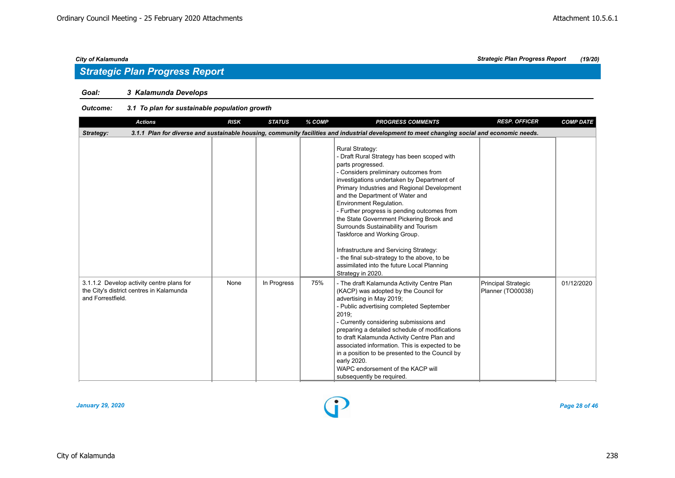## *Goal: 3 Kalamunda Develops*

| <b>Actions</b>                                                                                             | <b>RISK</b> | <b>STATUS</b> | % COMP | <b>PROGRESS COMMENTS</b>                                                                                                                                                                                                                                                                                                                                                                                                                                                                                                                                                                                                       | <b>RESP. OFFICER</b>                            | <b>COMP DATE</b> |
|------------------------------------------------------------------------------------------------------------|-------------|---------------|--------|--------------------------------------------------------------------------------------------------------------------------------------------------------------------------------------------------------------------------------------------------------------------------------------------------------------------------------------------------------------------------------------------------------------------------------------------------------------------------------------------------------------------------------------------------------------------------------------------------------------------------------|-------------------------------------------------|------------------|
| Strategy:                                                                                                  |             |               |        | 3.1.1 Plan for diverse and sustainable housing, community facilities and industrial development to meet changing social and economic needs.                                                                                                                                                                                                                                                                                                                                                                                                                                                                                    |                                                 |                  |
|                                                                                                            |             |               |        | <b>Rural Strategy:</b><br>- Draft Rural Strategy has been scoped with<br>parts progressed.<br>- Considers preliminary outcomes from<br>investigations undertaken by Department of<br>Primary Industries and Regional Development<br>and the Department of Water and<br>Environment Regulation.<br>- Further progress is pending outcomes from<br>the State Government Pickering Brook and<br>Surrounds Sustainability and Tourism<br>Taskforce and Working Group.<br>Infrastructure and Servicing Strategy:<br>- the final sub-strategy to the above, to be<br>assimilated into the future Local Planning<br>Strategy in 2020. |                                                 |                  |
| 3.1.1.2 Develop activity centre plans for<br>the City's district centres in Kalamunda<br>and Forrestfield. | None        | In Progress   | 75%    | - The draft Kalamunda Activity Centre Plan<br>(KACP) was adopted by the Council for<br>advertising in May 2019;<br>- Public advertising completed September<br>2019;<br>- Currently considering submissions and<br>preparing a detailed schedule of modifications<br>to draft Kalamunda Activity Centre Plan and<br>associated information. This is expected to be<br>in a position to be presented to the Council by<br>early 2020.<br>WAPC endorsement of the KACP will<br>subsequently be required.                                                                                                                         | <b>Principal Strategic</b><br>Planner (TO00038) | 01/12/2020       |

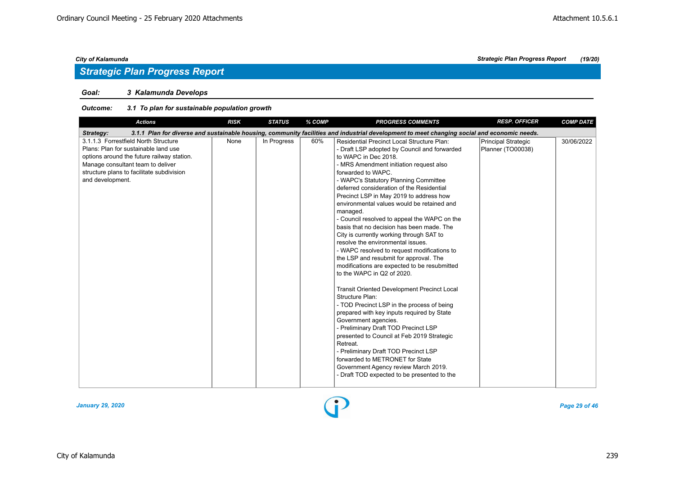## *Goal: 3 Kalamunda Develops*

| <b>Actions</b>                                                                                                                                                                                                                   | <b>RISK</b> | <b>STATUS</b> | % COMP | <b>PROGRESS COMMENTS</b>                                                                                                                                                                                                                                                                                                                                                                                                                                                                                                                                                                                                                                                                                                                                                                                                                                                                                                                                                                                                                                                                                                                                                                                    | <b>RESP. OFFICER</b>                     | <b>COMP DATE</b> |
|----------------------------------------------------------------------------------------------------------------------------------------------------------------------------------------------------------------------------------|-------------|---------------|--------|-------------------------------------------------------------------------------------------------------------------------------------------------------------------------------------------------------------------------------------------------------------------------------------------------------------------------------------------------------------------------------------------------------------------------------------------------------------------------------------------------------------------------------------------------------------------------------------------------------------------------------------------------------------------------------------------------------------------------------------------------------------------------------------------------------------------------------------------------------------------------------------------------------------------------------------------------------------------------------------------------------------------------------------------------------------------------------------------------------------------------------------------------------------------------------------------------------------|------------------------------------------|------------------|
| Strategy:                                                                                                                                                                                                                        |             |               |        | 3.1.1 Plan for diverse and sustainable housing, community facilities and industrial development to meet changing social and economic needs.                                                                                                                                                                                                                                                                                                                                                                                                                                                                                                                                                                                                                                                                                                                                                                                                                                                                                                                                                                                                                                                                 |                                          |                  |
| 3.1.1.3 Forrestfield North Structure<br>Plans: Plan for sustainable land use<br>options around the future railway station.<br>Manage consultant team to deliver<br>structure plans to facilitate subdivision<br>and development. | None        | In Progress   | 60%    | <b>Residential Precinct Local Structure Plan:</b><br>- Draft LSP adopted by Council and forwarded<br>to WAPC in Dec 2018.<br>- MRS Amendment initiation request also<br>forwarded to WAPC.<br>- WAPC's Statutory Planning Committee<br>deferred consideration of the Residential<br>Precinct LSP in May 2019 to address how<br>environmental values would be retained and<br>managed.<br>- Council resolved to appeal the WAPC on the<br>basis that no decision has been made. The<br>City is currently working through SAT to<br>resolve the environmental issues.<br>- WAPC resolved to request modifications to<br>the LSP and resubmit for approval. The<br>modifications are expected to be resubmitted<br>to the WAPC in Q2 of 2020.<br><b>Transit Oriented Development Precinct Local</b><br>Structure Plan:<br>- TOD Precinct LSP in the process of being<br>prepared with key inputs required by State<br>Government agencies.<br>- Preliminary Draft TOD Precinct LSP<br>presented to Council at Feb 2019 Strategic<br>Retreat.<br>- Preliminary Draft TOD Precinct LSP<br>forwarded to METRONET for State<br>Government Agency review March 2019.<br>- Draft TOD expected to be presented to the | Principal Strategic<br>Planner (TO00038) | 30/06/2022       |

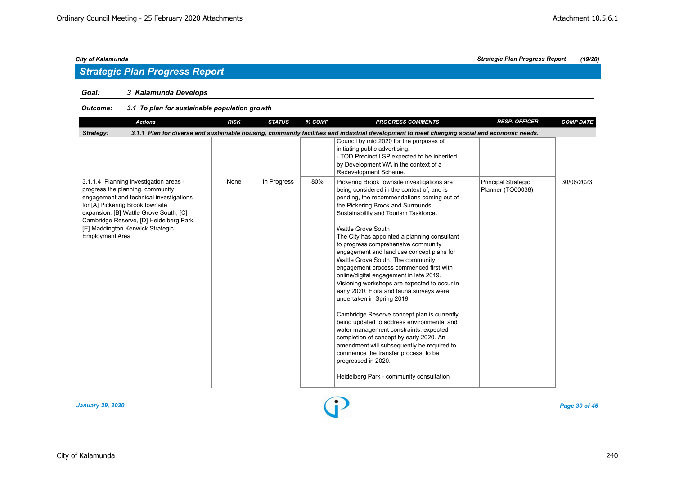## *Strategic Plan Progress Report*

## *Goal: 3 Kalamunda Develops*

## *Outcome: 3.1 To plan for sustainable population growth*

| <b>Actions</b>                                                                                                                                                                                                                                                                                               | <b>RISK</b> | <b>STATUS</b> | % COMP | <b>PROGRESS COMMENTS</b>                                                                                                                                                                                                                                                                                                                                                                                                                                                                                                                                                                                                                                                                                                                                                                                                                                                                                                                                                        | <b>RESP. OFFICER</b>                     | <b>COMP DATE</b> |  |  |  |  |
|--------------------------------------------------------------------------------------------------------------------------------------------------------------------------------------------------------------------------------------------------------------------------------------------------------------|-------------|---------------|--------|---------------------------------------------------------------------------------------------------------------------------------------------------------------------------------------------------------------------------------------------------------------------------------------------------------------------------------------------------------------------------------------------------------------------------------------------------------------------------------------------------------------------------------------------------------------------------------------------------------------------------------------------------------------------------------------------------------------------------------------------------------------------------------------------------------------------------------------------------------------------------------------------------------------------------------------------------------------------------------|------------------------------------------|------------------|--|--|--|--|
| 3.1.1 Plan for diverse and sustainable housing, community facilities and industrial development to meet changing social and economic needs.<br>Strategy:                                                                                                                                                     |             |               |        |                                                                                                                                                                                                                                                                                                                                                                                                                                                                                                                                                                                                                                                                                                                                                                                                                                                                                                                                                                                 |                                          |                  |  |  |  |  |
|                                                                                                                                                                                                                                                                                                              |             |               |        | Council by mid 2020 for the purposes of<br>initiating public advertising.<br>- TOD Precinct LSP expected to be inherited<br>by Development WA in the context of a<br>Redevelopment Scheme.                                                                                                                                                                                                                                                                                                                                                                                                                                                                                                                                                                                                                                                                                                                                                                                      |                                          |                  |  |  |  |  |
| 3.1.1.4 Planning investigation areas -<br>progress the planning, community<br>engagement and technical investigations<br>for [A] Pickering Brook townsite<br>expansion, [B] Wattle Grove South, [C]<br>Cambridge Reserve, [D] Heidelberg Park,<br>[E] Maddington Kenwick Strategic<br><b>Employment Area</b> | None        | In Progress   | 80%    | Pickering Brook townsite investigations are<br>being considered in the context of, and is<br>pending, the recommendations coming out of<br>the Pickering Brook and Surrounds<br>Sustainability and Tourism Taskforce.<br>Wattle Grove South<br>The City has appointed a planning consultant<br>to progress comprehensive community<br>engagement and land use concept plans for<br>Wattle Grove South. The community<br>engagement process commenced first with<br>online/digital engagement in late 2019.<br>Visioning workshops are expected to occur in<br>early 2020. Flora and fauna surveys were<br>undertaken in Spring 2019.<br>Cambridge Reserve concept plan is currently<br>being updated to address environmental and<br>water management constraints, expected<br>completion of concept by early 2020. An<br>amendment will subsequently be required to<br>commence the transfer process, to be<br>progressed in 2020.<br>Heidelberg Park - community consultation | Principal Strategic<br>Planner (TO00038) | 30/06/2023       |  |  |  |  |

*January 29, 2020 Page 30 of 46*

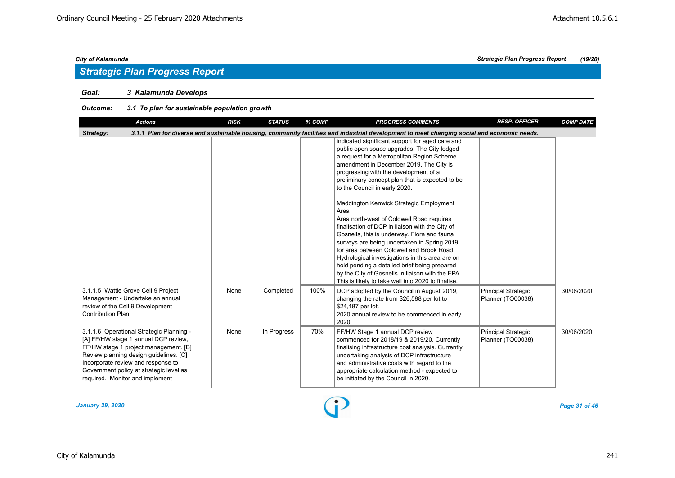## *Goal: 3 Kalamunda Develops*

| <b>Actions</b>                                                                                                                                                                                                                                                                          | <b>RISK</b>                                                                                                                                 | <b>STATUS</b> | % COMP | <b>PROGRESS COMMENTS</b>                                                                                                                                                                                                                                                                                                                                                                                                                                                                                                                                                                                                                                                                                                                                                                                                        | <b>RESP. OFFICER</b>                            | <b>COMP DATE</b> |  |  |  |  |
|-----------------------------------------------------------------------------------------------------------------------------------------------------------------------------------------------------------------------------------------------------------------------------------------|---------------------------------------------------------------------------------------------------------------------------------------------|---------------|--------|---------------------------------------------------------------------------------------------------------------------------------------------------------------------------------------------------------------------------------------------------------------------------------------------------------------------------------------------------------------------------------------------------------------------------------------------------------------------------------------------------------------------------------------------------------------------------------------------------------------------------------------------------------------------------------------------------------------------------------------------------------------------------------------------------------------------------------|-------------------------------------------------|------------------|--|--|--|--|
| Strategy:                                                                                                                                                                                                                                                                               | 3.1.1 Plan for diverse and sustainable housing, community facilities and industrial development to meet changing social and economic needs. |               |        |                                                                                                                                                                                                                                                                                                                                                                                                                                                                                                                                                                                                                                                                                                                                                                                                                                 |                                                 |                  |  |  |  |  |
|                                                                                                                                                                                                                                                                                         |                                                                                                                                             |               |        | indicated significant support for aged care and<br>public open space upgrades. The City lodged<br>a request for a Metropolitan Region Scheme<br>amendment in December 2019. The City is<br>progressing with the development of a<br>preliminary concept plan that is expected to be<br>to the Council in early 2020.<br>Maddington Kenwick Strategic Employment<br>Area<br>Area north-west of Coldwell Road requires<br>finalisation of DCP in liaison with the City of<br>Gosnells, this is underway. Flora and fauna<br>surveys are being undertaken in Spring 2019<br>for area between Coldwell and Brook Road.<br>Hydrological investigations in this area are on<br>hold pending a detailed brief being prepared<br>by the City of Gosnells in liaison with the EPA.<br>This is likely to take well into 2020 to finalise. |                                                 |                  |  |  |  |  |
| 3.1.1.5 Wattle Grove Cell 9 Project<br>Management - Undertake an annual<br>review of the Cell 9 Development<br>Contribution Plan.                                                                                                                                                       | None                                                                                                                                        | Completed     | 100%   | DCP adopted by the Council in August 2019,<br>changing the rate from \$26,588 per lot to<br>\$24,187 per lot.<br>2020 annual review to be commenced in early<br>2020.                                                                                                                                                                                                                                                                                                                                                                                                                                                                                                                                                                                                                                                           | <b>Principal Strategic</b><br>Planner (TO00038) | 30/06/2020       |  |  |  |  |
| 3.1.1.6 Operational Strategic Planning -<br>[A] FF/HW stage 1 annual DCP review,<br>FF/HW stage 1 project management. [B]<br>Review planning design guidelines. [C]<br>Incorporate review and response to<br>Government policy at strategic level as<br>required. Monitor and implement | None                                                                                                                                        | In Progress   | 70%    | FF/HW Stage 1 annual DCP review<br>commenced for 2018/19 & 2019/20. Currently<br>finalising infrastructure cost analysis. Currently<br>undertaking analysis of DCP infrastructure<br>and administrative costs with regard to the<br>appropriate calculation method - expected to<br>be initiated by the Council in 2020.                                                                                                                                                                                                                                                                                                                                                                                                                                                                                                        | Principal Strategic<br>Planner (TO00038)        | 30/06/2020       |  |  |  |  |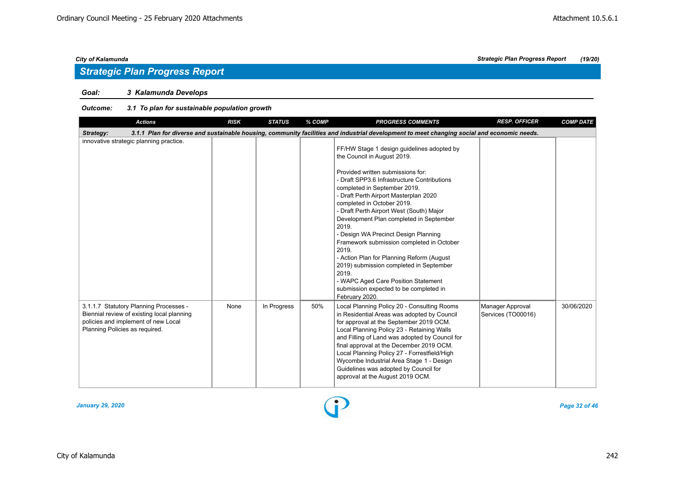## *Goal: 3 Kalamunda Develops*

| <b>Actions</b>                                                                                                                                                | <b>RISK</b> | <b>STATUS</b> | % COMP | <b>PROGRESS COMMENTS</b>                                                                                                                                                                                                                                                                                                                                                                                                                                                                                                                                                                                                                                               | <b>RESP. OFFICER</b>                   | <b>COMP DATE</b> |
|---------------------------------------------------------------------------------------------------------------------------------------------------------------|-------------|---------------|--------|------------------------------------------------------------------------------------------------------------------------------------------------------------------------------------------------------------------------------------------------------------------------------------------------------------------------------------------------------------------------------------------------------------------------------------------------------------------------------------------------------------------------------------------------------------------------------------------------------------------------------------------------------------------------|----------------------------------------|------------------|
| Strategy:                                                                                                                                                     |             |               |        | 3.1.1 Plan for diverse and sustainable housing, community facilities and industrial development to meet changing social and economic needs.                                                                                                                                                                                                                                                                                                                                                                                                                                                                                                                            |                                        |                  |
| innovative strategic planning practice.                                                                                                                       |             |               |        | FF/HW Stage 1 design guidelines adopted by<br>the Council in August 2019.<br>Provided written submissions for:<br>- Draft SPP3.6 Infrastructure Contributions<br>completed in September 2019.<br>- Draft Perth Airport Masterplan 2020<br>completed in October 2019.<br>- Draft Perth Airport West (South) Major<br>Development Plan completed in September<br>2019.<br>- Design WA Precinct Design Planning<br>Framework submission completed in October<br>2019.<br>- Action Plan for Planning Reform (August<br>2019) submission completed in September<br>2019.<br>- WAPC Aged Care Position Statement<br>submission expected to be completed in<br>February 2020. |                                        |                  |
| 3.1.1.7 Statutory Planning Processes -<br>Biennial review of existing local planning<br>policies and implement of new Local<br>Planning Policies as required. | None        | In Progress   | 50%    | Local Planning Policy 20 - Consulting Rooms<br>in Residential Areas was adopted by Council<br>for approval at the September 2019 OCM.<br>Local Planning Policy 23 - Retaining Walls<br>and Filling of Land was adopted by Council for<br>final approval at the December 2019 OCM.<br>Local Planning Policy 27 - Forrestfield/High<br>Wycombe Industrial Area Stage 1 - Design<br>Guidelines was adopted by Council for<br>approval at the August 2019 OCM.                                                                                                                                                                                                             | Manager Approval<br>Services (TO00016) | 30/06/2020       |

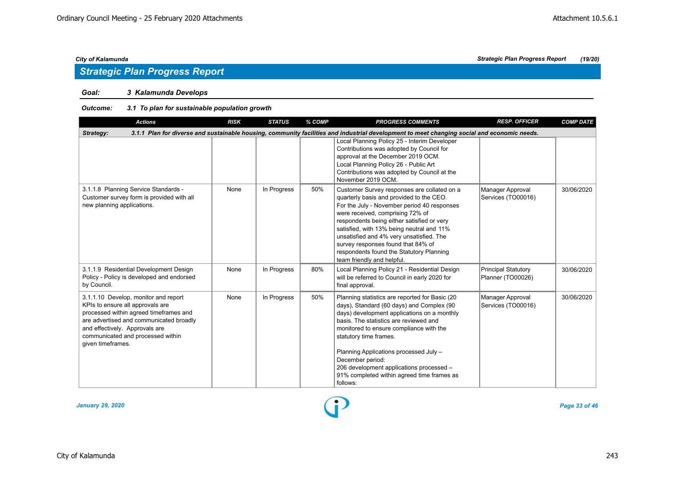## *Goal: 3 Kalamunda Develops*

| <b>Actions</b>                                                                                                                                                                                                                                            | <b>RISK</b> | <b>STATUS</b> | % COMP | <b>PROGRESS COMMENTS</b>                                                                                                                                                                                                                                                                                                                                                                                                          | <b>RESP. OFFICER</b>                            | <b>COMP DATE</b> |  |  |  |  |
|-----------------------------------------------------------------------------------------------------------------------------------------------------------------------------------------------------------------------------------------------------------|-------------|---------------|--------|-----------------------------------------------------------------------------------------------------------------------------------------------------------------------------------------------------------------------------------------------------------------------------------------------------------------------------------------------------------------------------------------------------------------------------------|-------------------------------------------------|------------------|--|--|--|--|
| 3.1.1 Plan for diverse and sustainable housing, community facilities and industrial development to meet changing social and economic needs.<br>Strategy:                                                                                                  |             |               |        |                                                                                                                                                                                                                                                                                                                                                                                                                                   |                                                 |                  |  |  |  |  |
|                                                                                                                                                                                                                                                           |             |               |        | Local Planning Policy 25 - Interim Developer<br>Contributions was adopted by Council for<br>approval at the December 2019 OCM.<br>Local Planning Policy 26 - Public Art<br>Contributions was adopted by Council at the<br>November 2019 OCM.                                                                                                                                                                                      |                                                 |                  |  |  |  |  |
| 3.1.1.8 Planning Service Standards -<br>Customer survey form is provided with all<br>new planning applications.                                                                                                                                           | None        | In Progress   | 50%    | Customer Survey responses are collated on a<br>quarterly basis and provided to the CEO.<br>For the July - November period 40 responses<br>were received, comprising 72% of<br>respondents being either satisfied or very<br>satisfied, with 13% being neutral and 11%<br>unsatisfied and 4% very unsatisfied. The<br>survey responses found that 84% of<br>respondents found the Statutory Planning<br>team friendly and helpful. | Manager Approval<br>Services (TO00016)          | 30/06/2020       |  |  |  |  |
| 3.1.1.9 Residential Development Design<br>Policy - Policy is developed and endorsed<br>by Council.                                                                                                                                                        | None        | In Progress   | 80%    | Local Planning Policy 21 - Residential Design<br>will be referred to Council in early 2020 for<br>final approval.                                                                                                                                                                                                                                                                                                                 | <b>Principal Statutory</b><br>Planner (TO00026) | 30/06/2020       |  |  |  |  |
| 3.1.1.10 Develop, monitor and report<br>KPIs to ensure all approvals are<br>processed within agreed timeframes and<br>are advertised and communicated broadly<br>and effectively. Approvals are<br>communicated and processed within<br>given timeframes. | None        | In Progress   | 50%    | Planning statistics are reported for Basic (20<br>days), Standard (60 days) and Complex (90<br>days) development applications on a monthly<br>basis. The statistics are reviewed and<br>monitored to ensure compliance with the<br>statutory time frames.<br>Planning Applications processed July -<br>December period:<br>206 development applications processed -<br>91% completed within agreed time frames as<br>follows:     | Manager Approval<br>Services (TO00016)          | 30/06/2020       |  |  |  |  |

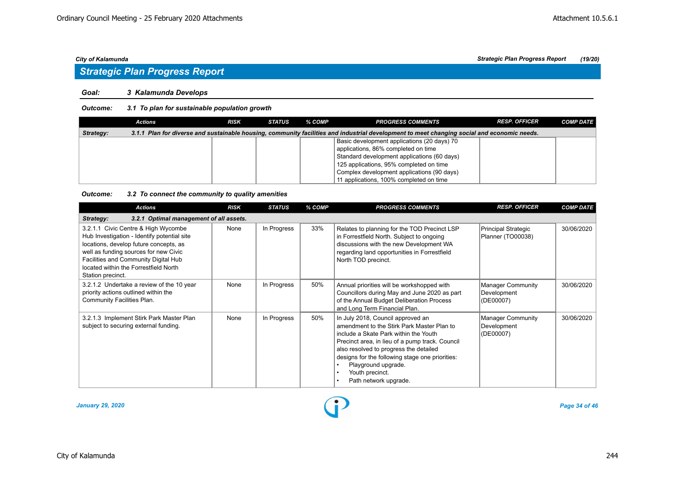#### *Goal: 3 Kalamunda Develops*

#### *Outcome: 3.1 To plan for sustainable population growth*

|           | Actions | <b>RISK</b> | STATUS | % COMP | <b>PROGRESS COMMENTS</b>                                                                                                                    | <b>RESP. OFFICER</b> | <b>COMP DATE</b> |
|-----------|---------|-------------|--------|--------|---------------------------------------------------------------------------------------------------------------------------------------------|----------------------|------------------|
| Strategy: |         |             |        |        | 3.1.1 Plan for diverse and sustainable housing, community facilities and industrial development to meet changing social and economic needs. |                      |                  |
|           |         |             |        |        | Basic development applications (20 days) 70                                                                                                 |                      |                  |
|           |         |             |        |        | applications, 86% completed on time                                                                                                         |                      |                  |
|           |         |             |        |        | Standard development applications (60 days)                                                                                                 |                      |                  |
|           |         |             |        |        | 125 applications, 95% completed on time                                                                                                     |                      |                  |
|           |         |             |        |        | Complex development applications (90 days)                                                                                                  |                      |                  |
|           |         |             |        |        | 11 applications, 100% completed on time                                                                                                     |                      |                  |

### *Outcome: 3.2 To connect the community to quality amenities*

| <b>Actions</b>                                                                                                                                                                                                                                                              | <b>RISK</b> | <b>STATUS</b> | % COMP | <b>PROGRESS COMMENTS</b>                                                                                                                                                                                                                                                                                                                    | <b>RESP. OFFICER</b>                                 | <b>COMP DATE</b> |
|-----------------------------------------------------------------------------------------------------------------------------------------------------------------------------------------------------------------------------------------------------------------------------|-------------|---------------|--------|---------------------------------------------------------------------------------------------------------------------------------------------------------------------------------------------------------------------------------------------------------------------------------------------------------------------------------------------|------------------------------------------------------|------------------|
| 3.2.1 Optimal management of all assets.<br>Strategy:                                                                                                                                                                                                                        |             |               |        |                                                                                                                                                                                                                                                                                                                                             |                                                      |                  |
| 3.2.1.1 Civic Centre & High Wycombe<br>Hub Investigation - Identify potential site<br>locations, develop future concepts, as<br>well as funding sources for new Civic<br>Facilities and Community Digital Hub<br>located within the Forrestfield North<br>Station precinct. | None        | In Progress   | 33%    | Relates to planning for the TOD Precinct LSP<br>in Forrestfield North. Subject to ongoing<br>discussions with the new Development WA<br>regarding land opportunities in Forrestfield<br>North TOD precinct.                                                                                                                                 | Principal Strategic<br>Planner (TO00038)             | 30/06/2020       |
| 3.2.1.2 Undertake a review of the 10 year<br>priority actions outlined within the<br>Community Facilities Plan.                                                                                                                                                             | None        | In Progress   | 50%    | Annual priorities will be workshopped with<br>Councillors during May and June 2020 as part<br>of the Annual Budget Deliberation Process<br>and Long Term Financial Plan.                                                                                                                                                                    | <b>Manager Community</b><br>Development<br>(DE00007) | 30/06/2020       |
| 3.2.1.3 Implement Stirk Park Master Plan<br>subject to securing external funding.                                                                                                                                                                                           | None        | In Progress   | 50%    | In July 2018, Council approved an<br>amendment to the Stirk Park Master Plan to<br>include a Skate Park within the Youth<br>Precinct area, in lieu of a pump track. Council<br>also resolved to progress the detailed<br>designs for the following stage one priorities:<br>Playground upgrade.<br>Youth precinct.<br>Path network upgrade. | <b>Manager Community</b><br>Development<br>(DE00007) | 30/06/2020       |

*January 29, 2020 Page 34 of 46*

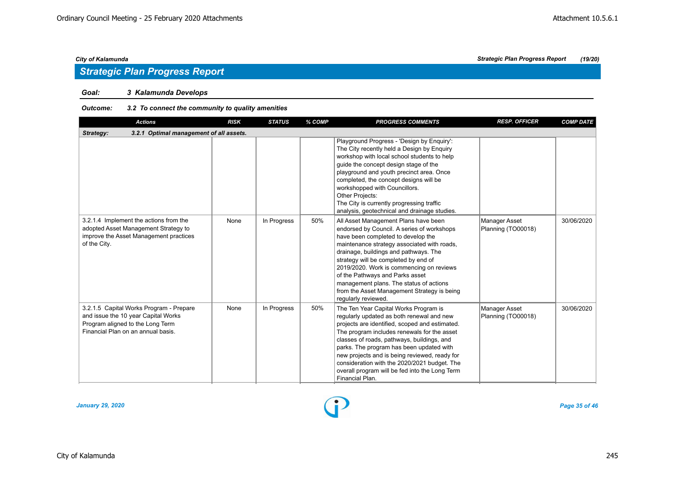## *Goal: 3 Kalamunda Develops*

## *Outcome: 3.2 To connect the community to quality amenities*

| <b>Actions</b>                                                                                                                                           | <b>RISK</b> | <b>STATUS</b> | % COMP | <b>PROGRESS COMMENTS</b>                                                                                                                                                                                                                                                                                                                                                                                                                                 | <b>RESP. OFFICER</b>                | <b>COMP DATE</b> |
|----------------------------------------------------------------------------------------------------------------------------------------------------------|-------------|---------------|--------|----------------------------------------------------------------------------------------------------------------------------------------------------------------------------------------------------------------------------------------------------------------------------------------------------------------------------------------------------------------------------------------------------------------------------------------------------------|-------------------------------------|------------------|
| 3.2.1 Optimal management of all assets.<br>Strategy:                                                                                                     |             |               |        |                                                                                                                                                                                                                                                                                                                                                                                                                                                          |                                     |                  |
|                                                                                                                                                          |             |               |        | Playground Progress - 'Design by Enquiry':<br>The City recently held a Design by Enquiry<br>workshop with local school students to help<br>quide the concept design stage of the<br>playground and youth precinct area. Once<br>completed, the concept designs will be<br>workshopped with Councillors.<br>Other Projects:<br>The City is currently progressing traffic<br>analysis, geotechnical and drainage studies.                                  |                                     |                  |
| 3.2.1.4 Implement the actions from the<br>adopted Asset Management Strategy to<br>improve the Asset Management practices<br>of the City.                 | None        | In Progress   | 50%    | All Asset Management Plans have been<br>endorsed by Council. A series of workshops<br>have been completed to develop the<br>maintenance strategy associated with roads,<br>drainage, buildings and pathways. The<br>strategy will be completed by end of<br>2019/2020. Work is commencing on reviews<br>of the Pathways and Parks asset<br>management plans. The status of actions<br>from the Asset Management Strategy is being<br>regularly reviewed. | Manager Asset<br>Planning (TO00018) | 30/06/2020       |
| 3.2.1.5 Capital Works Program - Prepare<br>and issue the 10 year Capital Works<br>Program aligned to the Long Term<br>Financial Plan on an annual basis. | None        | In Progress   | 50%    | The Ten Year Capital Works Program is<br>regularly updated as both renewal and new<br>projects are identified, scoped and estimated.<br>The program includes renewals for the asset<br>classes of roads, pathways, buildings, and<br>parks. The program has been updated with<br>new projects and is being reviewed, ready for<br>consideration with the 2020/2021 budget. The<br>overall program will be fed into the Long Term<br>Financial Plan.      | Manager Asset<br>Planning (TO00018) | 30/06/2020       |

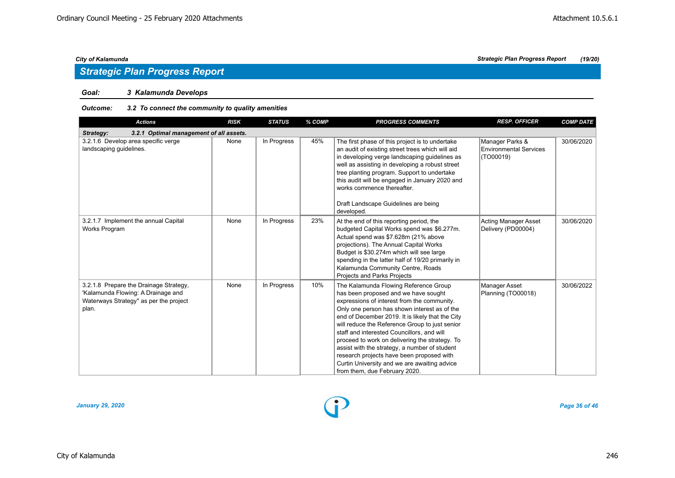## *Goal: 3 Kalamunda Develops*

#### *Outcome: 3.2 To connect the community to quality amenities*

| <b>Actions</b>                                                                                                                  | <b>RISK</b> | <b>STATUS</b> | % COMP | <b>PROGRESS COMMENTS</b>                                                                                                                                                                                                                                                                                                                                                                                                                                                                                                                                          | <b>RESP. OFFICER</b>                                          | <b>COMP DATE</b> |
|---------------------------------------------------------------------------------------------------------------------------------|-------------|---------------|--------|-------------------------------------------------------------------------------------------------------------------------------------------------------------------------------------------------------------------------------------------------------------------------------------------------------------------------------------------------------------------------------------------------------------------------------------------------------------------------------------------------------------------------------------------------------------------|---------------------------------------------------------------|------------------|
| 3.2.1 Optimal management of all assets.<br>Strategy:                                                                            |             |               |        |                                                                                                                                                                                                                                                                                                                                                                                                                                                                                                                                                                   |                                                               |                  |
| 3.2.1.6 Develop area specific verge<br>landscaping guidelines.                                                                  | None        | In Progress   | 45%    | The first phase of this project is to undertake<br>an audit of existing street trees which will aid<br>in developing verge landscaping quidelines as<br>well as assisting in developing a robust street<br>tree planting program. Support to undertake<br>this audit will be engaged in January 2020 and<br>works commence thereafter.<br>Draft Landscape Guidelines are being<br>developed.                                                                                                                                                                      | Manager Parks &<br><b>Environmental Services</b><br>(TO00019) | 30/06/2020       |
| 3.2.1.7 Implement the annual Capital<br>Works Program                                                                           | None        | In Progress   | 23%    | At the end of this reporting period, the<br>budgeted Capital Works spend was \$6.277m.<br>Actual spend was \$7.628m (21% above<br>projections). The Annual Capital Works<br>Budget is \$30.274m which will see large<br>spending in the latter half of 19/20 primarily in<br>Kalamunda Community Centre, Roads<br><b>Projects and Parks Projects</b>                                                                                                                                                                                                              | Acting Manager Asset<br>Delivery (PD00004)                    | 30/06/2020       |
| 3.2.1.8 Prepare the Drainage Strategy,<br>'Kalamunda Flowing: A Drainage and<br>Waterways Strategy" as per the project<br>plan. | None        | In Progress   | 10%    | The Kalamunda Flowing Reference Group<br>has been proposed and we have sought<br>expressions of interest from the community.<br>Only one person has shown interest as of the<br>end of December 2019. It is likely that the City<br>will reduce the Reference Group to just senior<br>staff and interested Councillors, and will<br>proceed to work on delivering the strategy. To<br>assist with the strategy, a number of student<br>research projects have been proposed with<br>Curtin University and we are awaiting advice<br>from them, due February 2020. | Manager Asset<br>Planning (TO00018)                           | 30/06/2022       |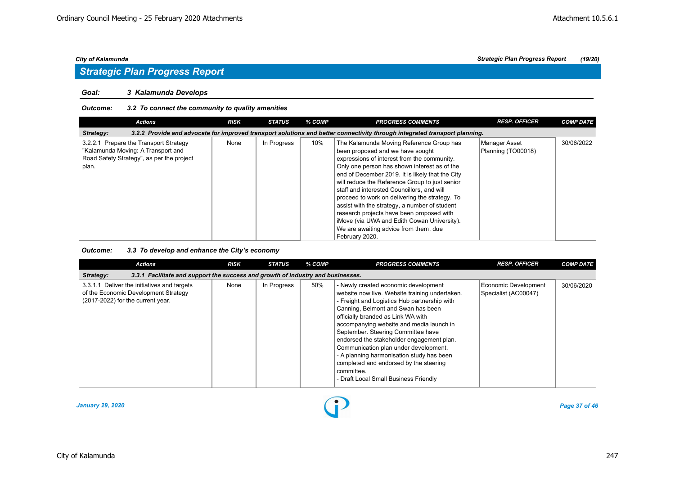#### *Goal: 3 Kalamunda Develops*

#### *Outcome: 3.2 To connect the community to quality amenities*

| Actions                                                                                                                            | <b>RISK</b> | <b>STATUS</b> | % COMP | <b>PROGRESS COMMENTS</b>                                                                                                                                                                                                                                                                                                                                                                                                                                                                                                                                                                  | <b>RESP. OFFICER</b>                | <b>COMP DATE</b> |
|------------------------------------------------------------------------------------------------------------------------------------|-------------|---------------|--------|-------------------------------------------------------------------------------------------------------------------------------------------------------------------------------------------------------------------------------------------------------------------------------------------------------------------------------------------------------------------------------------------------------------------------------------------------------------------------------------------------------------------------------------------------------------------------------------------|-------------------------------------|------------------|
| Strategy:                                                                                                                          |             |               |        | 3.2.2 Provide and advocate for improved transport solutions and better connectivity through integrated transport planning.                                                                                                                                                                                                                                                                                                                                                                                                                                                                |                                     |                  |
| 3.2.2.1 Prepare the Transport Strategy<br>"Kalamunda Moving: A Transport and<br>Road Safety Strategy", as per the project<br>plan. | None        | In Progress   | 10%    | The Kalamunda Moving Reference Group has<br>been proposed and we have sought<br>expressions of interest from the community.<br>Only one person has shown interest as of the<br>end of December 2019. It is likely that the City<br>will reduce the Reference Group to just senior<br>staff and interested Councillors, and will<br>proceed to work on delivering the strategy. To<br>assist with the strategy, a number of student<br>research projects have been proposed with<br>iMove (via UWA and Edith Cowan University).<br>We are awaiting advice from them, due<br>February 2020. | Manager Asset<br>Planning (TO00018) | 30/06/2022       |

#### *Outcome: 3.3 To develop and enhance the City's economy*

| <b>Actions</b>                                                                                                           | <b>RISK</b> | <b>STATUS</b> | % COMP | <b>PROGRESS COMMENTS</b>                                                                                                                                                                                                                                                                                                                                                                                                                                                                                                                 | <b>RESP. OFFICER</b>                         | <b>COMP DATE</b> |
|--------------------------------------------------------------------------------------------------------------------------|-------------|---------------|--------|------------------------------------------------------------------------------------------------------------------------------------------------------------------------------------------------------------------------------------------------------------------------------------------------------------------------------------------------------------------------------------------------------------------------------------------------------------------------------------------------------------------------------------------|----------------------------------------------|------------------|
| 3.3.1 Facilitate and support the success and growth of industry and businesses.<br>Strategy:                             |             |               |        |                                                                                                                                                                                                                                                                                                                                                                                                                                                                                                                                          |                                              |                  |
| 3.3.1.1 Deliver the initiatives and targets<br>of the Economic Development Strategy<br>(2017-2022) for the current year. | None        | In Progress   | 50%    | - Newly created economic development<br>website now live. Website training undertaken.<br>- Freight and Logistics Hub partnership with<br>Canning, Belmont and Swan has been<br>officially branded as Link WA with<br>accompanying website and media launch in<br>September. Steering Committee have<br>endorsed the stakeholder engagement plan.<br>Communication plan under development.<br>- A planning harmonisation study has been<br>completed and endorsed by the steering<br>committee.<br>- Draft Local Small Business Friendly | Economic Development<br>Specialist (AC00047) | 30/06/2020       |

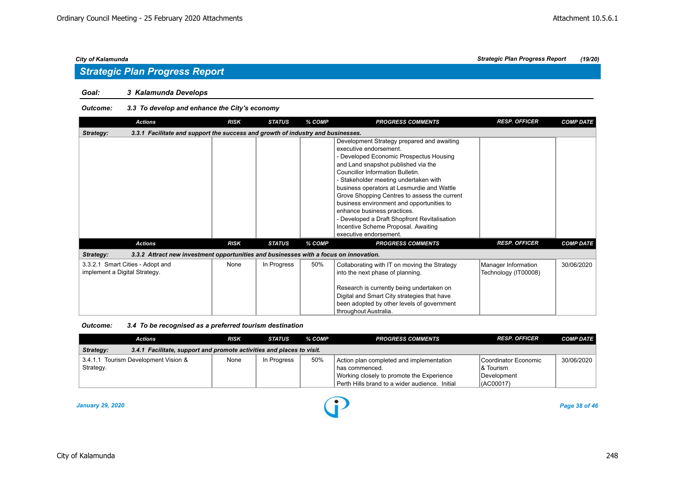### *Goal: 3 Kalamunda Develops*

## *Outcome: 3.3 To develop and enhance the City's economy*

| <b>Actions</b>                                                                                     | <b>RISK</b> | <b>STATUS</b> | % COMP | <b>PROGRESS COMMENTS</b>                                                                                                                                                                                                                                                                                                                                                                                                                                                                                                       | <b>RESP. OFFICER</b>                        | <b>COMP DATE</b> |
|----------------------------------------------------------------------------------------------------|-------------|---------------|--------|--------------------------------------------------------------------------------------------------------------------------------------------------------------------------------------------------------------------------------------------------------------------------------------------------------------------------------------------------------------------------------------------------------------------------------------------------------------------------------------------------------------------------------|---------------------------------------------|------------------|
| 3.3.1 Facilitate and support the success and growth of industry and businesses.<br>Strategy:       |             |               |        |                                                                                                                                                                                                                                                                                                                                                                                                                                                                                                                                |                                             |                  |
|                                                                                                    |             |               |        | Development Strategy prepared and awaiting<br>executive endorsement.<br>- Developed Economic Prospectus Housing<br>and Land snapshot published via the<br>Councillor Information Bulletin.<br>- Stakeholder meeting undertaken with<br>business operators at Lesmurdie and Wattle<br>Grove Shopping Centres to assess the current<br>business environment and opportunities to<br>enhance business practices.<br>- Developed a Draft Shopfront Revitalisation<br>Incentive Scheme Proposal. Awaiting<br>executive endorsement. |                                             |                  |
| <b>Actions</b>                                                                                     | <b>RISK</b> | <b>STATUS</b> | % COMP | <b>PROGRESS COMMENTS</b>                                                                                                                                                                                                                                                                                                                                                                                                                                                                                                       | <b>RESP. OFFICER</b>                        | <b>COMP DATE</b> |
| 3.3.2 Attract new investment opportunities and businesses with a focus on innovation.<br>Strategy: |             |               |        |                                                                                                                                                                                                                                                                                                                                                                                                                                                                                                                                |                                             |                  |
| 3.3.2.1 Smart Cities - Adopt and<br>implement a Digital Strategy.                                  | None        | In Progress   | 50%    | Collaborating with IT on moving the Strategy<br>into the next phase of planning.<br>Research is currently being undertaken on<br>Digital and Smart City strategies that have<br>been adopted by other levels of government<br>throughout Australia.                                                                                                                                                                                                                                                                            | Manager Information<br>Technology (IT00008) | 30/06/2020       |

#### *Outcome: 3.4 To be recognised as a preferred tourism destination*

|           | <b>Actions</b>                                                        | <b>RISK</b> | STATUS      | % COMP | <b>PROGRESS COMMENTS</b>                       | <b>RESP. OFFICER</b>   | <b>COMP DATE</b> |
|-----------|-----------------------------------------------------------------------|-------------|-------------|--------|------------------------------------------------|------------------------|------------------|
| Strategy: | 3.4.1 Facilitate, support and promote activities and places to visit. |             |             |        |                                                |                        |                  |
|           | 3.4.1.1 Tourism Development Vision &                                  | None        | In Progress | 50%    | Action plan completed and implementation       | l Coordinator Economic | 30/06/2020       |
| Strategy. |                                                                       |             |             |        | I has commenced.                               | 8 Tourism              |                  |
|           |                                                                       |             |             |        | Working closely to promote the Experience      | Development            |                  |
|           |                                                                       |             |             |        | Perth Hills brand to a wider audience. Initial | (ACO0017)              |                  |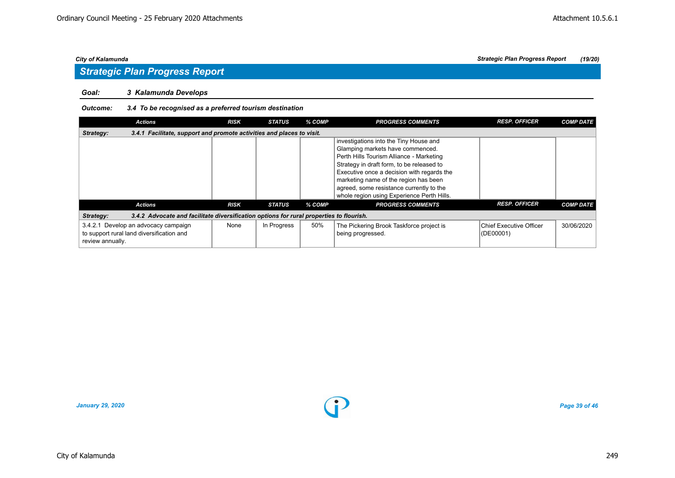## *Goal: 3 Kalamunda Develops*

## *Outcome: 3.4 To be recognised as a preferred tourism destination*

|                  | <b>Actions</b>                                                                          | <b>RISK</b> | <b>STATUS</b> | % COMP | <b>PROGRESS COMMENTS</b>                                                                                                                                                                                                                                                                                                                             | <b>RESP. OFFICER</b>                            | <b>COMP DATE</b> |  |  |  |  |  |
|------------------|-----------------------------------------------------------------------------------------|-------------|---------------|--------|------------------------------------------------------------------------------------------------------------------------------------------------------------------------------------------------------------------------------------------------------------------------------------------------------------------------------------------------------|-------------------------------------------------|------------------|--|--|--|--|--|
| Strategy:        | 3.4.1 Facilitate, support and promote activities and places to visit.                   |             |               |        |                                                                                                                                                                                                                                                                                                                                                      |                                                 |                  |  |  |  |  |  |
|                  |                                                                                         |             |               |        | investigations into the Tiny House and<br>Glamping markets have commenced.<br>Perth Hills Tourism Alliance - Marketing<br>Strategy in draft form, to be released to<br>Executive once a decision with regards the<br>marketing name of the region has been<br>agreed, some resistance currently to the<br>whole region using Experience Perth Hills. |                                                 |                  |  |  |  |  |  |
|                  | <b>Actions</b>                                                                          | <b>RISK</b> | <b>STATUS</b> | % COMP | <b>PROGRESS COMMENTS</b>                                                                                                                                                                                                                                                                                                                             | <b>RESP. OFFICER</b>                            | <b>COMP DATE</b> |  |  |  |  |  |
| Strategy:        | 3.4.2 Advocate and facilitate diversification options for rural properties to flourish. |             |               |        |                                                                                                                                                                                                                                                                                                                                                      |                                                 |                  |  |  |  |  |  |
| review annually. | 3.4.2.1 Develop an advocacy campaign<br>to support rural land diversification and       | None        | In Progress   | 50%    | The Pickering Brook Taskforce project is<br>being progressed.                                                                                                                                                                                                                                                                                        | <b>Chief Executive Officer</b><br>$ $ (DE00001) | 30/06/2020       |  |  |  |  |  |

*January 29, 2020 Page 39 of 46*

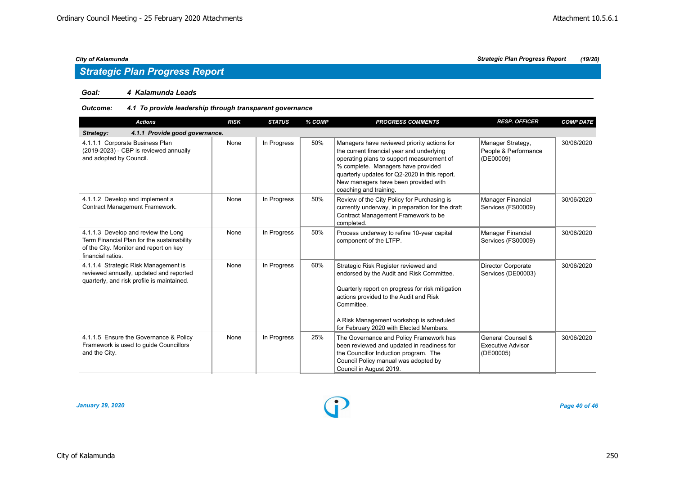### *Goal: 4 Kalamunda Leads*

## *Outcome: 4.1 To provide leadership through transparent governance*

| <b>Actions</b>                                                                                                                                   | <b>RISK</b> | <b>STATUS</b> | % COMP | <b>PROGRESS COMMENTS</b>                                                                                                                                                                                                                                                                       | <b>RESP. OFFICER</b>                                   | <b>COMP DATE</b> |
|--------------------------------------------------------------------------------------------------------------------------------------------------|-------------|---------------|--------|------------------------------------------------------------------------------------------------------------------------------------------------------------------------------------------------------------------------------------------------------------------------------------------------|--------------------------------------------------------|------------------|
| 4.1.1 Provide good governance.<br>Strategy:                                                                                                      |             |               |        |                                                                                                                                                                                                                                                                                                |                                                        |                  |
| 4.1.1.1 Corporate Business Plan<br>(2019-2023) - CBP is reviewed annually<br>and adopted by Council.                                             | None        | In Progress   | 50%    | Managers have reviewed priority actions for<br>the current financial year and underlying<br>operating plans to support measurement of<br>% complete. Managers have provided<br>quarterly updates for Q2-2020 in this report.<br>New managers have been provided with<br>coaching and training. | Manager Strategy,<br>People & Performance<br>(DE00009) | 30/06/2020       |
| 4.1.1.2 Develop and implement a<br>Contract Management Framework.                                                                                | None        | In Progress   | 50%    | Review of the City Policy for Purchasing is<br>currently underway, in preparation for the draft<br>Contract Management Framework to be<br>completed.                                                                                                                                           | Manager Financial<br>Services (FS00009)                | 30/06/2020       |
| 4.1.1.3 Develop and review the Long<br>Term Financial Plan for the sustainability<br>of the City. Monitor and report on key<br>financial ratios. | None        | In Progress   | 50%    | Process underway to refine 10-year capital<br>component of the LTFP.                                                                                                                                                                                                                           | Manager Financial<br>Services (FS00009)                | 30/06/2020       |
| 4.1.1.4 Strategic Risk Management is<br>reviewed annually, updated and reported<br>quarterly, and risk profile is maintained.                    | None        | In Progress   | 60%    | Strategic Risk Register reviewed and<br>endorsed by the Audit and Risk Committee.<br>Quarterly report on progress for risk mitigation<br>actions provided to the Audit and Risk<br>Committee.<br>A Risk Management workshop is scheduled<br>for February 2020 with Elected Members.            | Director Corporate<br>Services (DE00003)               | 30/06/2020       |
| 4.1.1.5 Ensure the Governance & Policy<br>Framework is used to guide Councillors<br>and the City.                                                | None        | In Progress   | 25%    | The Governance and Policy Framework has<br>been reviewed and updated in readiness for<br>the Councillor Induction program. The<br>Council Policy manual was adopted by<br>Council in August 2019.                                                                                              | General Counsel &<br>Executive Advisor<br>(DE00005)    | 30/06/2020       |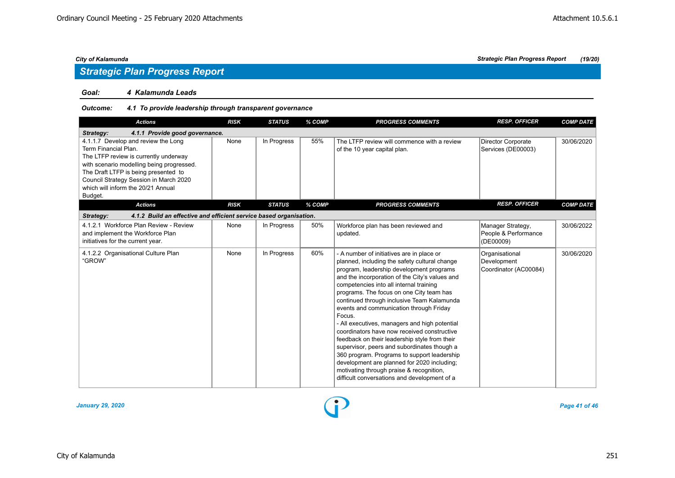## *Strategic Plan Progress Report*

### *Goal: 4 Kalamunda Leads*

## *Outcome: 4.1 To provide leadership through transparent governance*

| <b>Actions</b>                                                                                                                                                                                                                                                                       | <b>RISK</b> | <b>STATUS</b> | % COMP | <b>PROGRESS COMMENTS</b>                                                                                                                                                                                                                                                                                                                                                                                                                                                                                                                                                                                                                                                                                                                                                     | <b>RESP. OFFICER</b>                                   | <b>COMP DATE</b> |
|--------------------------------------------------------------------------------------------------------------------------------------------------------------------------------------------------------------------------------------------------------------------------------------|-------------|---------------|--------|------------------------------------------------------------------------------------------------------------------------------------------------------------------------------------------------------------------------------------------------------------------------------------------------------------------------------------------------------------------------------------------------------------------------------------------------------------------------------------------------------------------------------------------------------------------------------------------------------------------------------------------------------------------------------------------------------------------------------------------------------------------------------|--------------------------------------------------------|------------------|
| 4.1.1 Provide good governance.<br>Strategy:                                                                                                                                                                                                                                          |             |               |        |                                                                                                                                                                                                                                                                                                                                                                                                                                                                                                                                                                                                                                                                                                                                                                              |                                                        |                  |
| 4.1.1.7 Develop and review the Long<br>Term Financial Plan.<br>The LTFP review is currently underway<br>with scenario modelling being progressed.<br>The Draft LTFP is being presented to<br>Council Strategy Session in March 2020<br>which will inform the 20/21 Annual<br>Budget. | None        | In Progress   | 55%    | The LTFP review will commence with a review<br>of the 10 year capital plan.                                                                                                                                                                                                                                                                                                                                                                                                                                                                                                                                                                                                                                                                                                  | Director Corporate<br>Services (DE00003)               | 30/06/2020       |
| <b>Actions</b>                                                                                                                                                                                                                                                                       | <b>RISK</b> | <b>STATUS</b> | % COMP | <b>PROGRESS COMMENTS</b>                                                                                                                                                                                                                                                                                                                                                                                                                                                                                                                                                                                                                                                                                                                                                     | <b>RESP. OFFICER</b>                                   | <b>COMP DATE</b> |
| 4.1.2 Build an effective and efficient service based organisation.<br>Strategy:                                                                                                                                                                                                      |             |               |        |                                                                                                                                                                                                                                                                                                                                                                                                                                                                                                                                                                                                                                                                                                                                                                              |                                                        |                  |
| 4.1.2.1 Workforce Plan Review - Review<br>and implement the Workforce Plan<br>initiatives for the current year.                                                                                                                                                                      | None        | In Progress   | 50%    | Workforce plan has been reviewed and<br>updated.                                                                                                                                                                                                                                                                                                                                                                                                                                                                                                                                                                                                                                                                                                                             | Manager Strategy,<br>People & Performance<br>(DE00009) | 30/06/2022       |
| 4.1.2.2 Organisational Culture Plan<br>"GROW"                                                                                                                                                                                                                                        | None        | In Progress   | 60%    | - A number of initiatives are in place or<br>planned, including the safety cultural change<br>program, leadership development programs<br>and the incorporation of the City's values and<br>competencies into all internal training<br>programs. The focus on one City team has<br>continued through inclusive Team Kalamunda<br>events and communication through Friday<br>Focus.<br>- All executives, managers and high potential<br>coordinators have now received constructive<br>feedback on their leadership style from their<br>supervisor, peers and subordinates though a<br>360 program. Programs to support leadership<br>development are planned for 2020 including;<br>motivating through praise & recognition,<br>difficult conversations and development of a | Organisational<br>Development<br>Coordinator (AC00084) | 30/06/2020       |

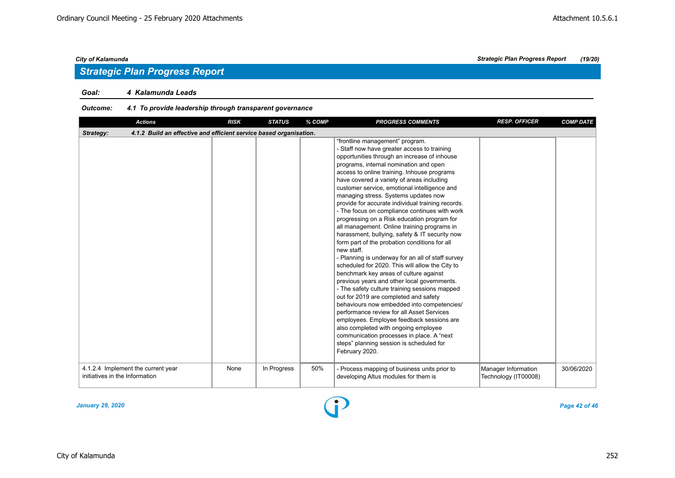### *Goal: 4 Kalamunda Leads*

## *Outcome: 4.1 To provide leadership through transparent governance*

| <b>Actions</b>                                                                  | <b>RISK</b> | <b>STATUS</b> | % COMP | <b>PROGRESS COMMENTS</b>                                                                                                                                                                                                                                                                                                                                                                                                                                                                                                                                                                                                                                                                                                                                                                                                                                                                                                                                                                                                                                                                                                                                                                                                                                                | <b>RESP. OFFICER</b>                        | <b>COMP DATE</b> |
|---------------------------------------------------------------------------------|-------------|---------------|--------|-------------------------------------------------------------------------------------------------------------------------------------------------------------------------------------------------------------------------------------------------------------------------------------------------------------------------------------------------------------------------------------------------------------------------------------------------------------------------------------------------------------------------------------------------------------------------------------------------------------------------------------------------------------------------------------------------------------------------------------------------------------------------------------------------------------------------------------------------------------------------------------------------------------------------------------------------------------------------------------------------------------------------------------------------------------------------------------------------------------------------------------------------------------------------------------------------------------------------------------------------------------------------|---------------------------------------------|------------------|
| 4.1.2 Build an effective and efficient service based organisation.<br>Strategy: |             |               |        |                                                                                                                                                                                                                                                                                                                                                                                                                                                                                                                                                                                                                                                                                                                                                                                                                                                                                                                                                                                                                                                                                                                                                                                                                                                                         |                                             |                  |
|                                                                                 |             |               |        | "frontline management" program.<br>- Staff now have greater access to training<br>opportunities through an increase of inhouse<br>programs, internal nomination and open<br>access to online training. Inhouse programs<br>have covered a variety of areas including<br>customer service, emotional intelligence and<br>managing stress. Systems updates now<br>provide for accurate individual training records.<br>- The focus on compliance continues with work<br>progressing on a Risk education program for<br>all management. Online training programs in<br>harassment, bullying, safety & IT security now<br>form part of the probation conditions for all<br>new staff.<br>- Planning is underway for an all of staff survey<br>scheduled for 2020. This will allow the City to<br>benchmark key areas of culture against<br>previous years and other local governments.<br>- The safety culture training sessions mapped<br>out for 2019 are completed and safety<br>behaviours now embedded into competencies/<br>performance review for all Asset Services<br>employees. Employee feedback sessions are<br>also completed with ongoing employee<br>communication processes in place. A "next<br>steps" planning session is scheduled for<br>February 2020. |                                             |                  |
| 4.1.2.4 Implement the current year<br>initiatives in the Information            | None        | In Progress   | 50%    | - Process mapping of business units prior to<br>developing Altus modules for them is                                                                                                                                                                                                                                                                                                                                                                                                                                                                                                                                                                                                                                                                                                                                                                                                                                                                                                                                                                                                                                                                                                                                                                                    | Manager Information<br>Technology (IT00008) | 30/06/2020       |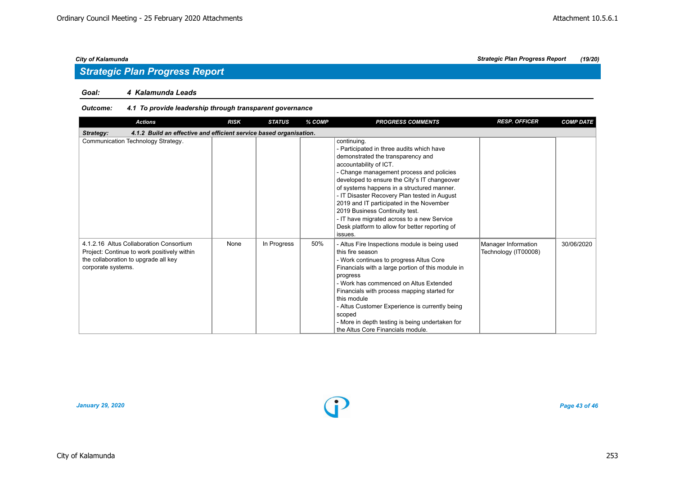## *Strategic Plan Progress Report*

### *Goal: 4 Kalamunda Leads*

## *Outcome: 4.1 To provide leadership through transparent governance*

| <b>Actions</b>                                                                                                                                       | <b>RISK</b> | <b>STATUS</b> | % COMP | <b>PROGRESS COMMENTS</b>                                                                                                                                                                                                                                                                                                                                                                                                                                                                                   | <b>RESP. OFFICER</b>                        | <b>COMP DATE</b> |  |  |
|------------------------------------------------------------------------------------------------------------------------------------------------------|-------------|---------------|--------|------------------------------------------------------------------------------------------------------------------------------------------------------------------------------------------------------------------------------------------------------------------------------------------------------------------------------------------------------------------------------------------------------------------------------------------------------------------------------------------------------------|---------------------------------------------|------------------|--|--|
| 4.1.2 Build an effective and efficient service based organisation.<br>Strategy:                                                                      |             |               |        |                                                                                                                                                                                                                                                                                                                                                                                                                                                                                                            |                                             |                  |  |  |
| Communication Technology Strategy.                                                                                                                   |             |               |        | continuing.<br>- Participated in three audits which have<br>demonstrated the transparency and<br>accountability of ICT.<br>- Change management process and policies<br>developed to ensure the City's IT changeover<br>of systems happens in a structured manner.<br>- IT Disaster Recovery Plan tested in August<br>2019 and IT participated in the November<br>2019 Business Continuity test.<br>- IT have migrated across to a new Service<br>Desk platform to allow for better reporting of<br>issues. |                                             |                  |  |  |
| 4.1.2.16 Altus Collaboration Consortium<br>Project: Continue to work positively within<br>the collaboration to upgrade all key<br>corporate systems. | None        | In Progress   | 50%    | - Altus Fire Inspections module is being used<br>this fire season<br>- Work continues to progress Altus Core<br>Financials with a large portion of this module in<br>progress<br>- Work has commenced on Altus Extended<br>Financials with process mapping started for<br>this module<br>- Altus Customer Experience is currently being<br>scoped<br>- More in depth testing is being undertaken for<br>the Altus Core Financials module.                                                                  | Manager Information<br>Technology (IT00008) | 30/06/2020       |  |  |

*January 29, 2020 Page 43 of 46*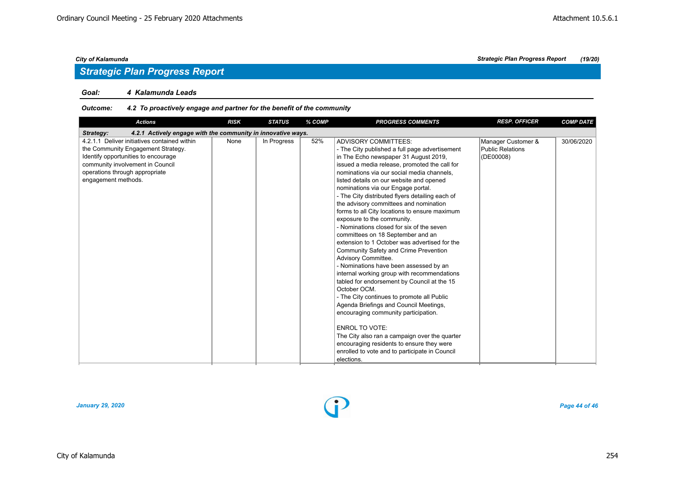## *Strategic Plan Progress Report*

### *Goal: 4 Kalamunda Leads*

## *Outcome: 4.2 To proactively engage and partner for the benefit of the community*

| <b>Actions</b>                                                                                                                                                                                                         | <b>RISK</b> | <b>STATUS</b> | % COMP | <b>PROGRESS COMMENTS</b>                                                                                                                                                                                                                                                                                                                                                                                                                                                                                                                                                                                                                                                                                                                                                                                                                                                                                                                                                                                                                                                                                                                                              | <b>RESP. OFFICER</b>                                | <b>COMP DATE</b> |  |  |
|------------------------------------------------------------------------------------------------------------------------------------------------------------------------------------------------------------------------|-------------|---------------|--------|-----------------------------------------------------------------------------------------------------------------------------------------------------------------------------------------------------------------------------------------------------------------------------------------------------------------------------------------------------------------------------------------------------------------------------------------------------------------------------------------------------------------------------------------------------------------------------------------------------------------------------------------------------------------------------------------------------------------------------------------------------------------------------------------------------------------------------------------------------------------------------------------------------------------------------------------------------------------------------------------------------------------------------------------------------------------------------------------------------------------------------------------------------------------------|-----------------------------------------------------|------------------|--|--|
| 4.2.1 Actively engage with the community in innovative ways.<br>Strategy:                                                                                                                                              |             |               |        |                                                                                                                                                                                                                                                                                                                                                                                                                                                                                                                                                                                                                                                                                                                                                                                                                                                                                                                                                                                                                                                                                                                                                                       |                                                     |                  |  |  |
| 4.2.1.1 Deliver initiatives contained within<br>the Community Engagement Strategy.<br>Identify opportunities to encourage<br>community involvement in Council<br>operations through appropriate<br>engagement methods. | None        | In Progress   | 52%    | <b>ADVISORY COMMITTEES:</b><br>- The City published a full page advertisement<br>in The Echo newspaper 31 August 2019,<br>issued a media release, promoted the call for<br>nominations via our social media channels.<br>listed details on our website and opened<br>nominations via our Engage portal.<br>- The City distributed flyers detailing each of<br>the advisory committees and nomination<br>forms to all City locations to ensure maximum<br>exposure to the community.<br>- Nominations closed for six of the seven<br>committees on 18 September and an<br>extension to 1 October was advertised for the<br>Community Safety and Crime Prevention<br>Advisory Committee.<br>- Nominations have been assessed by an<br>internal working group with recommendations<br>tabled for endorsement by Council at the 15<br>October OCM.<br>- The City continues to promote all Public<br>Agenda Briefings and Council Meetings,<br>encouraging community participation.<br><b>ENROL TO VOTE:</b><br>The City also ran a campaign over the quarter<br>encouraging residents to ensure they were<br>enrolled to vote and to participate in Council<br>elections. | Manager Customer &<br>Public Relations<br>(DE00008) | 30/06/2020       |  |  |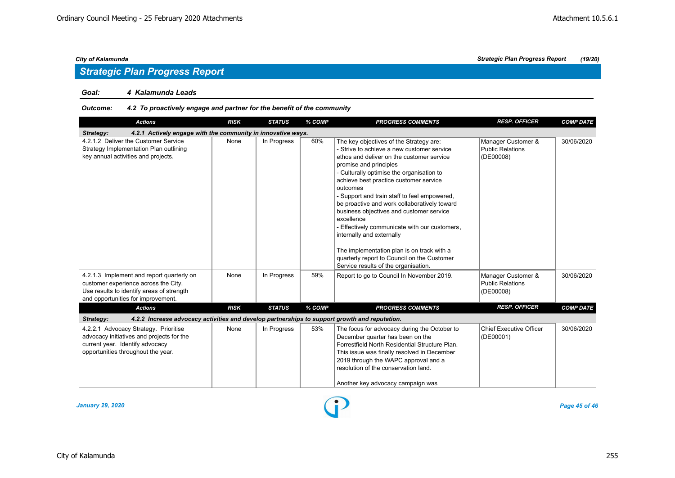## *Strategic Plan Progress Report*

### *Goal: 4 Kalamunda Leads*

## *Outcome: 4.2 To proactively engage and partner for the benefit of the community*

| <b>Actions</b>                                                                                                                                                       | <b>RISK</b>                                                                                   | <b>STATUS</b> | % COMP | <b>PROGRESS COMMENTS</b>                                                                                                                                                                                                                                                                                                                                                                                                                                                                                                                                                                                                                     | <b>RESP. OFFICER</b>                                       | <b>COMP DATE</b> |  |  |
|----------------------------------------------------------------------------------------------------------------------------------------------------------------------|-----------------------------------------------------------------------------------------------|---------------|--------|----------------------------------------------------------------------------------------------------------------------------------------------------------------------------------------------------------------------------------------------------------------------------------------------------------------------------------------------------------------------------------------------------------------------------------------------------------------------------------------------------------------------------------------------------------------------------------------------------------------------------------------------|------------------------------------------------------------|------------------|--|--|
| 4.2.1 Actively engage with the community in innovative ways.<br>Strategy:                                                                                            |                                                                                               |               |        |                                                                                                                                                                                                                                                                                                                                                                                                                                                                                                                                                                                                                                              |                                                            |                  |  |  |
| 4.2.1.2 Deliver the Customer Service<br>Strategy Implementation Plan outlining<br>key annual activities and projects.                                                | None                                                                                          | In Progress   | 60%    | The key objectives of the Strategy are:<br>- Strive to achieve a new customer service<br>ethos and deliver on the customer service<br>promise and principles<br>- Culturally optimise the organisation to<br>achieve best practice customer service<br>outcomes<br>- Support and train staff to feel empowered,<br>be proactive and work collaboratively toward<br>business objectives and customer service<br>excellence<br>- Effectively communicate with our customers,<br>internally and externally<br>The implementation plan is on track with a<br>quarterly report to Council on the Customer<br>Service results of the organisation. | Manager Customer &<br><b>Public Relations</b><br>(DE00008) | 30/06/2020       |  |  |
| 4.2.1.3 Implement and report quarterly on<br>customer experience across the City.<br>Use results to identify areas of strength<br>and opportunities for improvement. | None                                                                                          | In Progress   | 59%    | Report to go to Council In November 2019.                                                                                                                                                                                                                                                                                                                                                                                                                                                                                                                                                                                                    | Manager Customer &<br><b>Public Relations</b><br>(DE00008) | 30/06/2020       |  |  |
| <b>Actions</b>                                                                                                                                                       | <b>RISK</b>                                                                                   | <b>STATUS</b> | % COMP | <b>PROGRESS COMMENTS</b>                                                                                                                                                                                                                                                                                                                                                                                                                                                                                                                                                                                                                     | <b>RESP. OFFICER</b>                                       | <b>COMP DATE</b> |  |  |
| Strategy:                                                                                                                                                            | 4.2.2 Increase advocacy activities and develop partnerships to support growth and reputation. |               |        |                                                                                                                                                                                                                                                                                                                                                                                                                                                                                                                                                                                                                                              |                                                            |                  |  |  |
| 4.2.2.1 Advocacy Strategy. Prioritise<br>advocacy initiatives and projects for the<br>current year. Identify advocacy<br>opportunities throughout the year.          | None                                                                                          | In Progress   | 53%    | The focus for advocacy during the October to<br>December quarter has been on the<br>Forrestfield North Residential Structure Plan.<br>This issue was finally resolved in December<br>2019 through the WAPC approval and a<br>resolution of the conservation land.<br>Another key advocacy campaign was                                                                                                                                                                                                                                                                                                                                       | <b>Chief Executive Officer</b><br>(DE00001)                | 30/06/2020       |  |  |

*January 29, 2020 Page 45 of 46*